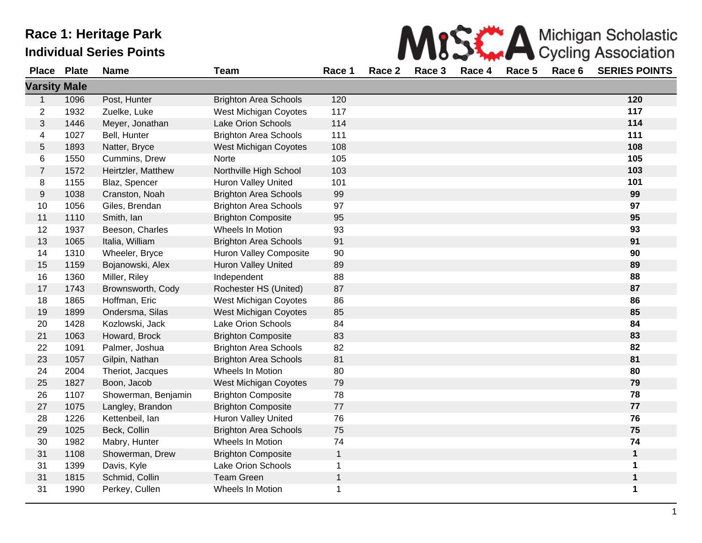**Place Plate Name 51 Team** 

|              |        | MISS A Michigan Scholastic |  |                                                  |  |  |
|--------------|--------|----------------------------|--|--------------------------------------------------|--|--|
|              | Race 1 |                            |  | Race 2 Race 3 Race 4 Race 5 Race 6 SERIES POINTS |  |  |
|              |        |                            |  |                                                  |  |  |
| rea Schools. |        |                            |  |                                                  |  |  |

| <b>Varsity Male</b> |      |                     |                               |              |              |
|---------------------|------|---------------------|-------------------------------|--------------|--------------|
| 1                   | 1096 | Post, Hunter        | <b>Brighton Area Schools</b>  | 120          | 120          |
| $\overline{2}$      | 1932 | Zuelke, Luke        | West Michigan Coyotes         | 117          | 117          |
| 3                   | 1446 | Meyer, Jonathan     | Lake Orion Schools            | 114          | 114          |
| 4                   | 1027 | Bell, Hunter        | <b>Brighton Area Schools</b>  | 111          | 111          |
| 5                   | 1893 | Natter, Bryce       | West Michigan Coyotes         | 108          | 108          |
| 6                   | 1550 | Cummins, Drew       | Norte                         | 105          | 105          |
| 7                   | 1572 | Heirtzler, Matthew  | Northville High School        | 103          | 103          |
| 8                   | 1155 | Blaz, Spencer       | <b>Huron Valley United</b>    | 101          | 101          |
| 9                   | 1038 | Cranston, Noah      | <b>Brighton Area Schools</b>  | 99           | 99           |
| 10                  | 1056 | Giles, Brendan      | <b>Brighton Area Schools</b>  | 97           | 97           |
| 11                  | 1110 | Smith, Ian          | <b>Brighton Composite</b>     | 95           | 95           |
| 12                  | 1937 | Beeson, Charles     | Wheels In Motion              | 93           | 93           |
| 13                  | 1065 | Italia, William     | <b>Brighton Area Schools</b>  | 91           | 91           |
| 14                  | 1310 | Wheeler, Bryce      | <b>Huron Valley Composite</b> | 90           | 90           |
| 15                  | 1159 | Bojanowski, Alex    | <b>Huron Valley United</b>    | 89           | 89           |
| 16                  | 1360 | Miller, Riley       | Independent                   | 88           | 88           |
| 17                  | 1743 | Brownsworth, Cody   | Rochester HS (United)         | 87           | 87           |
| 18                  | 1865 | Hoffman, Eric       | West Michigan Coyotes         | 86           | 86           |
| 19                  | 1899 | Ondersma, Silas     | West Michigan Coyotes         | 85           | 85           |
| 20                  | 1428 | Kozlowski, Jack     | Lake Orion Schools            | 84           | 84           |
| 21                  | 1063 | Howard, Brock       | <b>Brighton Composite</b>     | 83           | 83           |
| 22                  | 1091 | Palmer, Joshua      | <b>Brighton Area Schools</b>  | 82           | 82           |
| 23                  | 1057 | Gilpin, Nathan      | <b>Brighton Area Schools</b>  | 81           | 81           |
| 24                  | 2004 | Theriot, Jacques    | Wheels In Motion              | 80           | 80           |
| 25                  | 1827 | Boon, Jacob         | West Michigan Coyotes         | 79           | 79           |
| 26                  | 1107 | Showerman, Benjamin | <b>Brighton Composite</b>     | 78           | 78           |
| 27                  | 1075 | Langley, Brandon    | <b>Brighton Composite</b>     | 77           | 77           |
| 28                  | 1226 | Kettenbeil, Ian     | Huron Valley United           | 76           | 76           |
| 29                  | 1025 | Beck, Collin        | <b>Brighton Area Schools</b>  | 75           | 75           |
| 30                  | 1982 | Mabry, Hunter       | Wheels In Motion              | 74           | 74           |
| 31                  | 1108 | Showerman, Drew     | <b>Brighton Composite</b>     | $\mathbf{1}$ | $\mathbf{1}$ |
| 31                  | 1399 | Davis, Kyle         | Lake Orion Schools            | 1            | 1            |
| 31                  | 1815 | Schmid, Collin      | <b>Team Green</b>             | 1            | 1            |
| 31                  | 1990 | Perkey, Cullen      | Wheels In Motion              | 1            | 1            |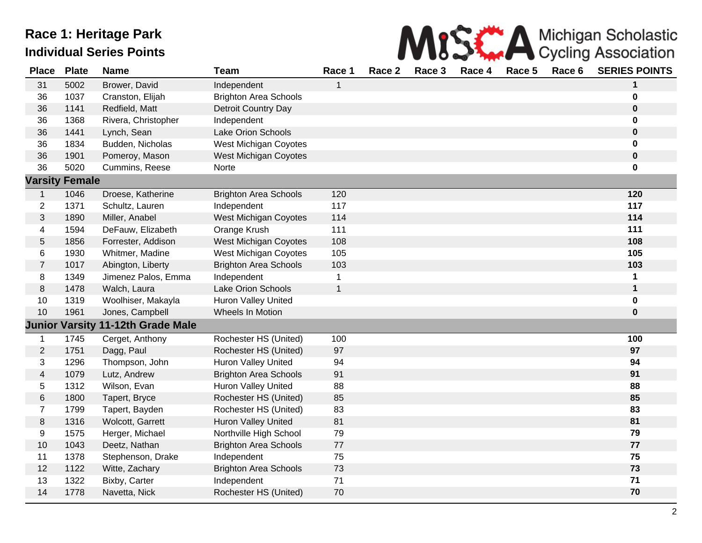

| <b>Place</b>            | <b>Plate</b>          | <b>Name</b>         | <b>Team</b>                  | Race 1       | Race 2 | Race 3 | Race 4 | Race 5 | Race 6 | <b>SERIES POINTS</b> |
|-------------------------|-----------------------|---------------------|------------------------------|--------------|--------|--------|--------|--------|--------|----------------------|
| 31                      | 5002                  | Brower, David       | Independent                  | $\mathbf{1}$ |        |        |        |        |        | 1                    |
| 36                      | 1037                  | Cranston, Elijah    | <b>Brighton Area Schools</b> |              |        |        |        |        |        | 0                    |
| 36                      | 1141                  | Redfield, Matt      | Detroit Country Day          |              |        |        |        |        |        | $\mathbf 0$          |
| 36                      | 1368                  | Rivera, Christopher | Independent                  |              |        |        |        |        |        | 0                    |
| 36                      | 1441                  | Lynch, Sean         | <b>Lake Orion Schools</b>    |              |        |        |        |        |        | $\mathbf 0$          |
| 36                      | 1834                  | Budden, Nicholas    | West Michigan Coyotes        |              |        |        |        |        |        | 0                    |
| 36                      | 1901                  | Pomeroy, Mason      | West Michigan Coyotes        |              |        |        |        |        |        | 0                    |
| 36                      | 5020                  | Cummins, Reese      | Norte                        |              |        |        |        |        |        | 0                    |
|                         | <b>Varsity Female</b> |                     |                              |              |        |        |        |        |        |                      |
| 1                       | 1046                  | Droese, Katherine   | <b>Brighton Area Schools</b> | 120          |        |        |        |        |        | 120                  |
| $\overline{c}$          | 1371                  | Schultz, Lauren     | Independent                  | 117          |        |        |        |        |        | 117                  |
| 3                       | 1890                  | Miller, Anabel      | <b>West Michigan Coyotes</b> | 114          |        |        |        |        |        | 114                  |
| $\overline{\mathbf{4}}$ | 1594                  | DeFauw, Elizabeth   | Orange Krush                 | 111          |        |        |        |        |        | 111                  |
| 5                       | 1856                  | Forrester, Addison  | West Michigan Coyotes        | 108          |        |        |        |        |        | 108                  |
| 6                       | 1930                  | Whitmer, Madine     | West Michigan Coyotes        | 105          |        |        |        |        |        | 105                  |
| $\overline{7}$          | 1017                  | Abington, Liberty   | <b>Brighton Area Schools</b> | 103          |        |        |        |        |        | 103                  |
| 8                       | 1349                  | Jimenez Palos, Emma | Independent                  | 1            |        |        |        |        |        | $\mathbf 1$          |
| 8                       | 1478                  | Walch, Laura        | Lake Orion Schools           | $\mathbf{1}$ |        |        |        |        |        | $\mathbf{1}$         |
| 10                      | 1319                  | Woolhiser, Makayla  | Huron Valley United          |              |        |        |        |        |        | 0                    |
| 10                      | 1961                  | Jones, Campbell     | Wheels In Motion             |              |        |        |        |        |        | 0                    |
|                         | <b>Junior Varsity</b> | 11-12th Grade Male  |                              |              |        |        |        |        |        |                      |
| $\mathbf{1}$            | 1745                  | Cerget, Anthony     | Rochester HS (United)        | 100          |        |        |        |        |        | 100                  |
| $\overline{2}$          | 1751                  | Dagg, Paul          | Rochester HS (United)        | 97           |        |        |        |        |        | 97                   |
| 3                       | 1296                  | Thompson, John      | Huron Valley United          | 94           |        |        |        |        |        | 94                   |
| $\overline{\mathbf{4}}$ | 1079                  | Lutz, Andrew        | <b>Brighton Area Schools</b> | 91           |        |        |        |        |        | 91                   |
| 5                       | 1312                  | Wilson, Evan        | <b>Huron Valley United</b>   | 88           |        |        |        |        |        | 88                   |
| $\,$ 6 $\,$             | 1800                  | Tapert, Bryce       | Rochester HS (United)        | 85           |        |        |        |        |        | 85                   |
| $\overline{7}$          | 1799                  | Tapert, Bayden      | Rochester HS (United)        | 83           |        |        |        |        |        | 83                   |
| $\,8\,$                 | 1316                  | Wolcott, Garrett    | Huron Valley United          | 81           |        |        |        |        |        | 81                   |
| 9                       | 1575                  | Herger, Michael     | Northville High School       | 79           |        |        |        |        |        | 79                   |
| 10                      | 1043                  | Deetz, Nathan       | <b>Brighton Area Schools</b> | $77$         |        |        |        |        |        | 77                   |
| 11                      | 1378                  | Stephenson, Drake   | Independent                  | 75           |        |        |        |        |        | 75                   |
| 12                      | 1122                  | Witte, Zachary      | <b>Brighton Area Schools</b> | 73           |        |        |        |        |        | 73                   |
| 13                      | 1322                  | Bixby, Carter       | Independent                  | 71           |        |        |        |        |        | 71                   |
| 14                      | 1778                  | Navetta, Nick       | Rochester HS (United)        | 70           |        |        |        |        |        | 70                   |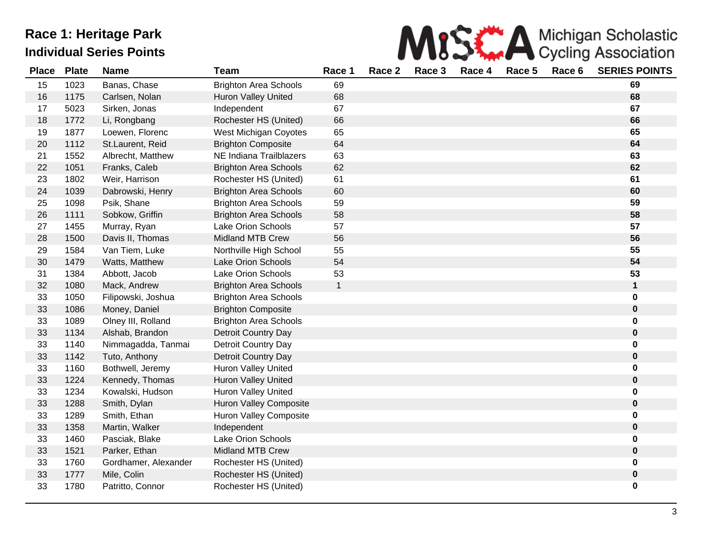

| <b>Place</b> | <b>Plate</b> | <b>Name</b>          | <b>Team</b>                   | Race 1       | Race 2 | Race 3 | Race 4 | Race 5 | Race 6 | <b>SERIES POINTS</b> |
|--------------|--------------|----------------------|-------------------------------|--------------|--------|--------|--------|--------|--------|----------------------|
| 15           | 1023         | Banas, Chase         | <b>Brighton Area Schools</b>  | 69           |        |        |        |        |        | 69                   |
| 16           | 1175         | Carlsen, Nolan       | <b>Huron Valley United</b>    | 68           |        |        |        |        |        | 68                   |
| 17           | 5023         | Sirken, Jonas        | Independent                   | 67           |        |        |        |        |        | 67                   |
| 18           | 1772         | Li, Rongbang         | Rochester HS (United)         | 66           |        |        |        |        |        | 66                   |
| 19           | 1877         | Loewen, Florenc      | West Michigan Coyotes         | 65           |        |        |        |        |        | 65                   |
| 20           | 1112         | St.Laurent, Reid     | <b>Brighton Composite</b>     | 64           |        |        |        |        |        | 64                   |
| 21           | 1552         | Albrecht, Matthew    | NE Indiana Trailblazers       | 63           |        |        |        |        |        | 63                   |
| 22           | 1051         | Franks, Caleb        | <b>Brighton Area Schools</b>  | 62           |        |        |        |        |        | 62                   |
| 23           | 1802         | Weir, Harrison       | Rochester HS (United)         | 61           |        |        |        |        |        | 61                   |
| 24           | 1039         | Dabrowski, Henry     | <b>Brighton Area Schools</b>  | 60           |        |        |        |        |        | 60                   |
| 25           | 1098         | Psik, Shane          | <b>Brighton Area Schools</b>  | 59           |        |        |        |        |        | 59                   |
| 26           | 1111         | Sobkow, Griffin      | <b>Brighton Area Schools</b>  | 58           |        |        |        |        |        | 58                   |
| 27           | 1455         | Murray, Ryan         | <b>Lake Orion Schools</b>     | 57           |        |        |        |        |        | 57                   |
| 28           | 1500         | Davis II, Thomas     | <b>Midland MTB Crew</b>       | 56           |        |        |        |        |        | 56                   |
| 29           | 1584         | Van Tiem, Luke       | Northville High School        | 55           |        |        |        |        |        | 55                   |
| 30           | 1479         | Watts, Matthew       | Lake Orion Schools            | 54           |        |        |        |        |        | 54                   |
| 31           | 1384         | Abbott, Jacob        | Lake Orion Schools            | 53           |        |        |        |        |        | 53                   |
| 32           | 1080         | Mack, Andrew         | <b>Brighton Area Schools</b>  | $\mathbf{1}$ |        |        |        |        |        | $\mathbf 1$          |
| 33           | 1050         | Filipowski, Joshua   | <b>Brighton Area Schools</b>  |              |        |        |        |        |        | 0                    |
| 33           | 1086         | Money, Daniel        | <b>Brighton Composite</b>     |              |        |        |        |        |        | $\pmb{0}$            |
| 33           | 1089         | Olney III, Rolland   | <b>Brighton Area Schools</b>  |              |        |        |        |        |        | $\mathbf 0$          |
| 33           | 1134         | Alshab, Brandon      | Detroit Country Day           |              |        |        |        |        |        | $\pmb{0}$            |
| 33           | 1140         | Nimmagadda, Tanmai   | Detroit Country Day           |              |        |        |        |        |        | $\mathbf 0$          |
| 33           | 1142         | Tuto, Anthony        | Detroit Country Day           |              |        |        |        |        |        | $\pmb{0}$            |
| 33           | 1160         | Bothwell, Jeremy     | <b>Huron Valley United</b>    |              |        |        |        |        |        | $\mathbf 0$          |
| 33           | 1224         | Kennedy, Thomas      | <b>Huron Valley United</b>    |              |        |        |        |        |        | $\bf{0}$             |
| 33           | 1234         | Kowalski, Hudson     | <b>Huron Valley United</b>    |              |        |        |        |        |        | $\mathbf 0$          |
| 33           | 1288         | Smith, Dylan         | <b>Huron Valley Composite</b> |              |        |        |        |        |        | $\bf{0}$             |
| 33           | 1289         | Smith, Ethan         | Huron Valley Composite        |              |        |        |        |        |        | $\mathbf 0$          |
| 33           | 1358         | Martin, Walker       | Independent                   |              |        |        |        |        |        | $\pmb{0}$            |
| 33           | 1460         | Pasciak, Blake       | <b>Lake Orion Schools</b>     |              |        |        |        |        |        | $\pmb{0}$            |
| 33           | 1521         | Parker, Ethan        | <b>Midland MTB Crew</b>       |              |        |        |        |        |        | $\bf{0}$             |
| 33           | 1760         | Gordhamer, Alexander | Rochester HS (United)         |              |        |        |        |        |        | $\mathbf 0$          |
| 33           | 1777         | Mile, Colin          | Rochester HS (United)         |              |        |        |        |        |        | $\pmb{0}$            |
| 33           | 1780         | Patritto, Connor     | Rochester HS (United)         |              |        |        |        |        |        | 0                    |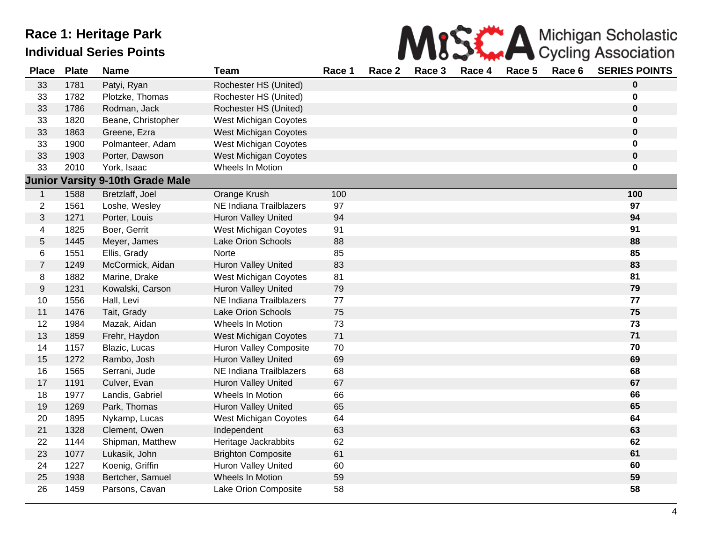|  | MISS A Michigan Scholastic |
|--|----------------------------|
|  |                            |

| <b>Place</b>     | <b>Plate</b> | <b>Name</b>                             | <b>Team</b>                   | Race 1 | Race 2 | Race 3 | Race 4 | Race 5 | Race 6 | <b>SERIES POINTS</b> |
|------------------|--------------|-----------------------------------------|-------------------------------|--------|--------|--------|--------|--------|--------|----------------------|
| 33               | 1781         | Patyi, Ryan                             | Rochester HS (United)         |        |        |        |        |        |        | $\mathbf 0$          |
| 33               | 1782         | Plotzke, Thomas                         | Rochester HS (United)         |        |        |        |        |        |        | $\mathbf 0$          |
| 33               | 1786         | Rodman, Jack                            | Rochester HS (United)         |        |        |        |        |        |        | $\pmb{0}$            |
| 33               | 1820         | Beane, Christopher                      | West Michigan Coyotes         |        |        |        |        |        |        | 0                    |
| 33               | 1863         | Greene, Ezra                            | West Michigan Coyotes         |        |        |        |        |        |        | $\pmb{0}$            |
| 33               | 1900         | Polmanteer, Adam                        | West Michigan Coyotes         |        |        |        |        |        |        | $\mathbf 0$          |
| 33               | 1903         | Porter, Dawson                          | West Michigan Coyotes         |        |        |        |        |        |        | $\pmb{0}$            |
| 33               | 2010         | York, Isaac                             | Wheels In Motion              |        |        |        |        |        |        | 0                    |
|                  |              | <b>Junior Varsity 9-10th Grade Male</b> |                               |        |        |        |        |        |        |                      |
| $\mathbf{1}$     | 1588         | Bretzlaff, Joel                         | Orange Krush                  | 100    |        |        |        |        |        | 100                  |
| $\overline{2}$   | 1561         | Loshe, Wesley                           | NE Indiana Trailblazers       | 97     |        |        |        |        |        | 97                   |
| 3                | 1271         | Porter, Louis                           | Huron Valley United           | 94     |        |        |        |        |        | 94                   |
| 4                | 1825         | Boer, Gerrit                            | West Michigan Coyotes         | 91     |        |        |        |        |        | 91                   |
| 5                | 1445         | Meyer, James                            | Lake Orion Schools            | 88     |        |        |        |        |        | 88                   |
| 6                | 1551         | Ellis, Grady                            | <b>Norte</b>                  | 85     |        |        |        |        |        | 85                   |
| $\overline{7}$   | 1249         | McCormick, Aidan                        | <b>Huron Valley United</b>    | 83     |        |        |        |        |        | 83                   |
| 8                | 1882         | Marine, Drake                           | West Michigan Coyotes         | 81     |        |        |        |        |        | 81                   |
| $\boldsymbol{9}$ | 1231         | Kowalski, Carson                        | <b>Huron Valley United</b>    | 79     |        |        |        |        |        | 79                   |
| 10               | 1556         | Hall, Levi                              | NE Indiana Trailblazers       | 77     |        |        |        |        |        | 77                   |
| 11               | 1476         | Tait, Grady                             | Lake Orion Schools            | 75     |        |        |        |        |        | 75                   |
| 12               | 1984         | Mazak, Aidan                            | Wheels In Motion              | 73     |        |        |        |        |        | 73                   |
| 13               | 1859         | Frehr, Haydon                           | West Michigan Coyotes         | 71     |        |        |        |        |        | $71$                 |
| 14               | 1157         | Blazic, Lucas                           | <b>Huron Valley Composite</b> | 70     |        |        |        |        |        | 70                   |
| 15               | 1272         | Rambo, Josh                             | Huron Valley United           | 69     |        |        |        |        |        | 69                   |
| 16               | 1565         | Serrani, Jude                           | NE Indiana Trailblazers       | 68     |        |        |        |        |        | 68                   |
| 17               | 1191         | Culver, Evan                            | <b>Huron Valley United</b>    | 67     |        |        |        |        |        | 67                   |
| 18               | 1977         | Landis, Gabriel                         | Wheels In Motion              | 66     |        |        |        |        |        | 66                   |
| 19               | 1269         | Park, Thomas                            | <b>Huron Valley United</b>    | 65     |        |        |        |        |        | 65                   |
| 20               | 1895         | Nykamp, Lucas                           | West Michigan Coyotes         | 64     |        |        |        |        |        | 64                   |
| 21               | 1328         | Clement, Owen                           | Independent                   | 63     |        |        |        |        |        | 63                   |
| 22               | 1144         | Shipman, Matthew                        | Heritage Jackrabbits          | 62     |        |        |        |        |        | 62                   |
| 23               | 1077         | Lukasik, John                           | <b>Brighton Composite</b>     | 61     |        |        |        |        |        | 61                   |
| 24               | 1227         | Koenig, Griffin                         | Huron Valley United           | 60     |        |        |        |        |        | 60                   |
| 25               | 1938         | Bertcher, Samuel                        | Wheels In Motion              | 59     |        |        |        |        |        | 59                   |
| 26               | 1459         | Parsons, Cavan                          | Lake Orion Composite          | 58     |        |        |        |        |        | 58                   |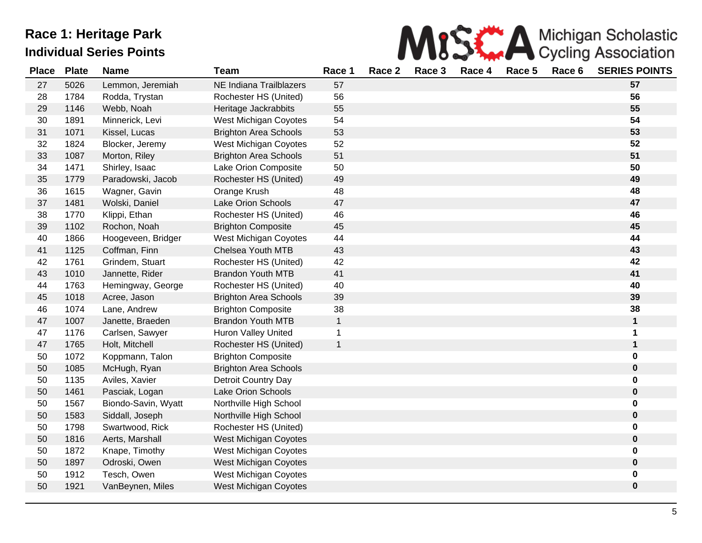

| <b>Place</b> | <b>Plate</b> | <b>Name</b>         | <b>Team</b>                  | Race 1       | Race 2 | Race 3 | Race 4 | Race 5 | Race 6 | <b>SERIES POINTS</b> |
|--------------|--------------|---------------------|------------------------------|--------------|--------|--------|--------|--------|--------|----------------------|
| 27           | 5026         | Lemmon, Jeremiah    | NE Indiana Trailblazers      | 57           |        |        |        |        |        | 57                   |
| 28           | 1784         | Rodda, Trystan      | Rochester HS (United)        | 56           |        |        |        |        |        | 56                   |
| 29           | 1146         | Webb, Noah          | Heritage Jackrabbits         | 55           |        |        |        |        |        | 55                   |
| 30           | 1891         | Minnerick, Levi     | West Michigan Coyotes        | 54           |        |        |        |        |        | 54                   |
| 31           | 1071         | Kissel, Lucas       | <b>Brighton Area Schools</b> | 53           |        |        |        |        |        | 53                   |
| 32           | 1824         | Blocker, Jeremy     | West Michigan Coyotes        | 52           |        |        |        |        |        | 52                   |
| 33           | 1087         | Morton, Riley       | <b>Brighton Area Schools</b> | 51           |        |        |        |        |        | 51                   |
| 34           | 1471         | Shirley, Isaac      | Lake Orion Composite         | 50           |        |        |        |        |        | 50                   |
| 35           | 1779         | Paradowski, Jacob   | Rochester HS (United)        | 49           |        |        |        |        |        | 49                   |
| 36           | 1615         | Wagner, Gavin       | Orange Krush                 | 48           |        |        |        |        |        | 48                   |
| 37           | 1481         | Wolski, Daniel      | <b>Lake Orion Schools</b>    | 47           |        |        |        |        |        | 47                   |
| 38           | 1770         | Klippi, Ethan       | Rochester HS (United)        | 46           |        |        |        |        |        | 46                   |
| 39           | 1102         | Rochon, Noah        | <b>Brighton Composite</b>    | 45           |        |        |        |        |        | 45                   |
| 40           | 1866         | Hoogeveen, Bridger  | West Michigan Coyotes        | 44           |        |        |        |        |        | 44                   |
| 41           | 1125         | Coffman, Finn       | Chelsea Youth MTB            | 43           |        |        |        |        |        | 43                   |
| 42           | 1761         | Grindem, Stuart     | Rochester HS (United)        | 42           |        |        |        |        |        | 42                   |
| 43           | 1010         | Jannette, Rider     | <b>Brandon Youth MTB</b>     | 41           |        |        |        |        |        | 41                   |
| 44           | 1763         | Hemingway, George   | Rochester HS (United)        | 40           |        |        |        |        |        | 40                   |
| 45           | 1018         | Acree, Jason        | <b>Brighton Area Schools</b> | 39           |        |        |        |        |        | 39                   |
| 46           | 1074         | Lane, Andrew        | <b>Brighton Composite</b>    | 38           |        |        |        |        |        | 38                   |
| 47           | 1007         | Janette, Braeden    | <b>Brandon Youth MTB</b>     | $\mathbf{1}$ |        |        |        |        |        | $\mathbf 1$          |
| 47           | 1176         | Carlsen, Sawyer     | <b>Huron Valley United</b>   | 1            |        |        |        |        |        | 1                    |
| 47           | 1765         | Holt, Mitchell      | Rochester HS (United)        | 1            |        |        |        |        |        | 1                    |
| 50           | 1072         | Koppmann, Talon     | <b>Brighton Composite</b>    |              |        |        |        |        |        | 0                    |
| 50           | 1085         | McHugh, Ryan        | <b>Brighton Area Schools</b> |              |        |        |        |        |        | 0                    |
| 50           | 1135         | Aviles, Xavier      | Detroit Country Day          |              |        |        |        |        |        | 0                    |
| 50           | 1461         | Pasciak, Logan      | <b>Lake Orion Schools</b>    |              |        |        |        |        |        | 0                    |
| 50           | 1567         | Biondo-Savin, Wyatt | Northville High School       |              |        |        |        |        |        | 0                    |
| 50           | 1583         | Siddall, Joseph     | Northville High School       |              |        |        |        |        |        | $\pmb{0}$            |
| 50           | 1798         | Swartwood, Rick     | Rochester HS (United)        |              |        |        |        |        |        | 0                    |
| 50           | 1816         | Aerts, Marshall     | West Michigan Coyotes        |              |        |        |        |        |        | $\mathbf 0$          |
| 50           | 1872         | Knape, Timothy      | West Michigan Coyotes        |              |        |        |        |        |        | 0                    |
| 50           | 1897         | Odroski, Owen       | West Michigan Coyotes        |              |        |        |        |        |        | 0                    |
| 50           | 1912         | Tesch, Owen         | West Michigan Coyotes        |              |        |        |        |        |        | 0                    |
| 50           | 1921         | VanBeynen, Miles    | <b>West Michigan Coyotes</b> |              |        |        |        |        |        | 0                    |
|              |              |                     |                              |              |        |        |        |        |        |                      |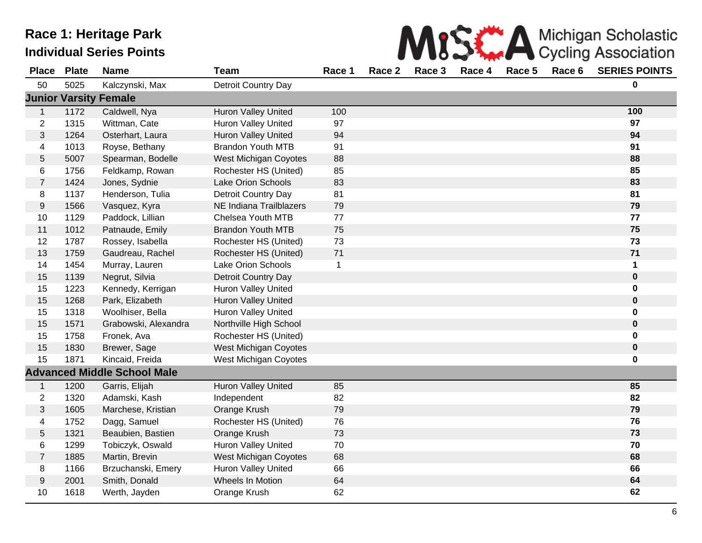

| <b>Place</b>     | <b>Plate</b> | <b>Name</b>                        | <b>Team</b>                  | Race 1 | Race 2 | Race 3 | Race 4 | Race 5 | Race 6 | <b>SERIES POINTS</b> |
|------------------|--------------|------------------------------------|------------------------------|--------|--------|--------|--------|--------|--------|----------------------|
| 50               | 5025         | Kalczynski, Max                    | Detroit Country Day          |        |        |        |        |        |        | 0                    |
|                  |              | <b>Junior Varsity Female</b>       |                              |        |        |        |        |        |        |                      |
| $\mathbf{1}$     | 1172         | Caldwell, Nya                      | <b>Huron Valley United</b>   | 100    |        |        |        |        |        | 100                  |
| $\overline{2}$   | 1315         | Wittman, Cate                      | <b>Huron Valley United</b>   | 97     |        |        |        |        |        | 97                   |
| 3                | 1264         | Osterhart, Laura                   | <b>Huron Valley United</b>   | 94     |        |        |        |        |        | 94                   |
| 4                | 1013         | Royse, Bethany                     | <b>Brandon Youth MTB</b>     | 91     |        |        |        |        |        | 91                   |
| $\sqrt{5}$       | 5007         | Spearman, Bodelle                  | West Michigan Coyotes        | 88     |        |        |        |        |        | 88                   |
| 6                | 1756         | Feldkamp, Rowan                    | Rochester HS (United)        | 85     |        |        |        |        |        | 85                   |
| $\overline{7}$   | 1424         | Jones, Sydnie                      | <b>Lake Orion Schools</b>    | 83     |        |        |        |        |        | 83                   |
| 8                | 1137         | Henderson, Tulia                   | Detroit Country Day          | 81     |        |        |        |        |        | 81                   |
| $\boldsymbol{9}$ | 1566         | Vasquez, Kyra                      | NE Indiana Trailblazers      | 79     |        |        |        |        |        | 79                   |
| 10               | 1129         | Paddock, Lillian                   | Chelsea Youth MTB            | 77     |        |        |        |        |        | 77                   |
| 11               | 1012         | Patnaude, Emily                    | <b>Brandon Youth MTB</b>     | 75     |        |        |        |        |        | 75                   |
| 12               | 1787         | Rossey, Isabella                   | Rochester HS (United)        | 73     |        |        |        |        |        | 73                   |
| 13               | 1759         | Gaudreau, Rachel                   | Rochester HS (United)        | $71$   |        |        |        |        |        | $71$                 |
| 14               | 1454         | Murray, Lauren                     | Lake Orion Schools           | 1      |        |        |        |        |        | $\mathbf 1$          |
| 15               | 1139         | Negrut, Silvia                     | Detroit Country Day          |        |        |        |        |        |        | $\mathbf 0$          |
| 15               | 1223         | Kennedy, Kerrigan                  | <b>Huron Valley United</b>   |        |        |        |        |        |        | 0                    |
| 15               | 1268         | Park, Elizabeth                    | Huron Valley United          |        |        |        |        |        |        | $\mathbf 0$          |
| 15               | 1318         | Woolhiser, Bella                   | <b>Huron Valley United</b>   |        |        |        |        |        |        | 0                    |
| 15               | 1571         | Grabowski, Alexandra               | Northville High School       |        |        |        |        |        |        | 0                    |
| 15               | 1758         | Fronek, Ava                        | Rochester HS (United)        |        |        |        |        |        |        | 0                    |
| 15               | 1830         | Brewer, Sage                       | <b>West Michigan Coyotes</b> |        |        |        |        |        |        | $\mathbf 0$          |
| 15               | 1871         | Kincaid, Freida                    | West Michigan Coyotes        |        |        |        |        |        |        | 0                    |
|                  |              | <b>Advanced Middle School Male</b> |                              |        |        |        |        |        |        |                      |
| $\mathbf{1}$     | 1200         | Garris, Elijah                     | Huron Valley United          | 85     |        |        |        |        |        | 85                   |
| $\overline{2}$   | 1320         | Adamski, Kash                      | Independent                  | 82     |        |        |        |        |        | 82                   |
| 3                | 1605         | Marchese, Kristian                 | Orange Krush                 | 79     |        |        |        |        |        | 79                   |
| 4                | 1752         | Dagg, Samuel                       | Rochester HS (United)        | 76     |        |        |        |        |        | 76                   |
| $\sqrt{5}$       | 1321         | Beaubien, Bastien                  | Orange Krush                 | 73     |        |        |        |        |        | 73                   |
| 6                | 1299         | Tobiczyk, Oswald                   | Huron Valley United          | 70     |        |        |        |        |        | 70                   |
| $\overline{7}$   | 1885         | Martin, Brevin                     | West Michigan Coyotes        | 68     |        |        |        |        |        | 68                   |
| 8                | 1166         | Brzuchanski, Emery                 | Huron Valley United          | 66     |        |        |        |        |        | 66                   |
| $9\,$            | 2001         | Smith, Donald                      | Wheels In Motion             | 64     |        |        |        |        |        | 64                   |
| 10               | 1618         | Werth, Jayden                      | Orange Krush                 | 62     |        |        |        |        |        | 62                   |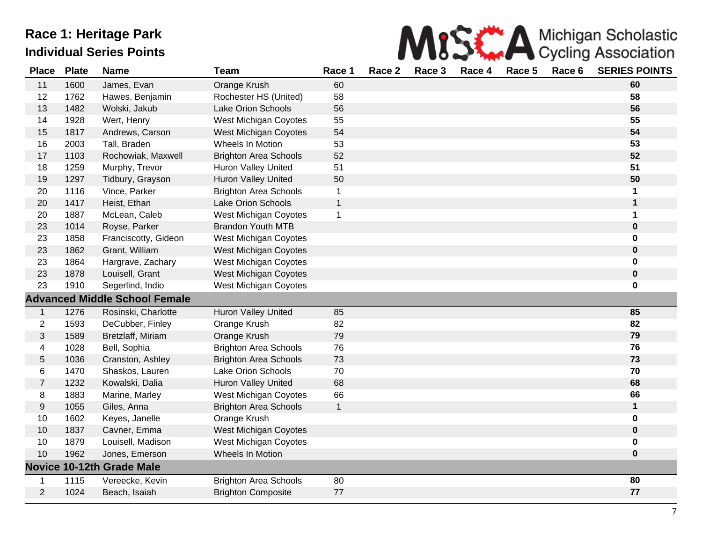

| <b>Place</b>   | <b>Plate</b> | <b>Name</b>                          | Team                         | Race 1       | Race 2 | Race 3 | Race 4 | Race 5 | Race 6 | <b>SERIES POINTS</b> |
|----------------|--------------|--------------------------------------|------------------------------|--------------|--------|--------|--------|--------|--------|----------------------|
| 11             | 1600         | James, Evan                          | Orange Krush                 | 60           |        |        |        |        |        | 60                   |
| 12             | 1762         | Hawes, Benjamin                      | Rochester HS (United)        | 58           |        |        |        |        |        | 58                   |
| 13             | 1482         | Wolski, Jakub                        | <b>Lake Orion Schools</b>    | 56           |        |        |        |        |        | 56                   |
| 14             | 1928         | Wert, Henry                          | West Michigan Coyotes        | 55           |        |        |        |        |        | 55                   |
| 15             | 1817         | Andrews, Carson                      | West Michigan Coyotes        | 54           |        |        |        |        |        | 54                   |
| 16             | 2003         | Tall, Braden                         | Wheels In Motion             | 53           |        |        |        |        |        | 53                   |
| 17             | 1103         | Rochowiak, Maxwell                   | <b>Brighton Area Schools</b> | 52           |        |        |        |        |        | 52                   |
| 18             | 1259         | Murphy, Trevor                       | <b>Huron Valley United</b>   | 51           |        |        |        |        |        | 51                   |
| 19             | 1297         | Tidbury, Grayson                     | Huron Valley United          | 50           |        |        |        |        |        | 50                   |
| 20             | 1116         | Vince, Parker                        | <b>Brighton Area Schools</b> | 1            |        |        |        |        |        | 1                    |
| 20             | 1417         | Heist, Ethan                         | <b>Lake Orion Schools</b>    | $\mathbf{1}$ |        |        |        |        |        | $\mathbf 1$          |
| 20             | 1887         | McLean, Caleb                        | West Michigan Coyotes        | 1            |        |        |        |        |        | 1                    |
| 23             | 1014         | Royse, Parker                        | <b>Brandon Youth MTB</b>     |              |        |        |        |        |        | $\mathbf 0$          |
| 23             | 1858         | Franciscotty, Gideon                 | West Michigan Coyotes        |              |        |        |        |        |        | 0                    |
| 23             | 1862         | Grant, William                       | West Michigan Coyotes        |              |        |        |        |        |        | 0                    |
| 23             | 1864         | Hargrave, Zachary                    | West Michigan Coyotes        |              |        |        |        |        |        | 0                    |
| 23             | 1878         | Louisell, Grant                      | West Michigan Coyotes        |              |        |        |        |        |        | 0                    |
| 23             | 1910         | Segerlind, Indio                     | West Michigan Coyotes        |              |        |        |        |        |        | 0                    |
|                |              | <b>Advanced Middle School Female</b> |                              |              |        |        |        |        |        |                      |
| $\mathbf{1}$   | 1276         | Rosinski, Charlotte                  | Huron Valley United          | 85           |        |        |        |        |        | 85                   |
| $\overline{2}$ | 1593         | DeCubber, Finley                     | Orange Krush                 | 82           |        |        |        |        |        | 82                   |
| 3              | 1589         | Bretzlaff, Miriam                    | Orange Krush                 | 79           |        |        |        |        |        | 79                   |
| 4              | 1028         | Bell, Sophia                         | <b>Brighton Area Schools</b> | 76           |        |        |        |        |        | 76                   |
| 5              | 1036         | Cranston, Ashley                     | <b>Brighton Area Schools</b> | 73           |        |        |        |        |        | 73                   |
| 6              | 1470         | Shaskos, Lauren                      | Lake Orion Schools           | 70           |        |        |        |        |        | 70                   |
| $\overline{7}$ | 1232         | Kowalski, Dalia                      | <b>Huron Valley United</b>   | 68           |        |        |        |        |        | 68                   |
| 8              | 1883         | Marine, Marley                       | West Michigan Coyotes        | 66           |        |        |        |        |        | 66                   |
| $9\,$          | 1055         | Giles, Anna                          | <b>Brighton Area Schools</b> | $\mathbf{1}$ |        |        |        |        |        | 1                    |
| 10             | 1602         | Keyes, Janelle                       | Orange Krush                 |              |        |        |        |        |        | 0                    |
| 10             | 1837         | Cavner, Emma                         | West Michigan Coyotes        |              |        |        |        |        |        | 0                    |
| 10             | 1879         | Louisell, Madison                    | West Michigan Coyotes        |              |        |        |        |        |        | 0                    |
| 10             | 1962         | Jones, Emerson                       | Wheels In Motion             |              |        |        |        |        |        | 0                    |
|                |              | <b>Novice 10-12th Grade Male</b>     |                              |              |        |        |        |        |        |                      |
| 1              | 1115         | Vereecke, Kevin                      | <b>Brighton Area Schools</b> | 80           |        |        |        |        |        | 80                   |
| $\overline{2}$ | 1024         | Beach, Isaiah                        | <b>Brighton Composite</b>    | 77           |        |        |        |        |        | 77                   |
|                |              |                                      |                              |              |        |        |        |        |        |                      |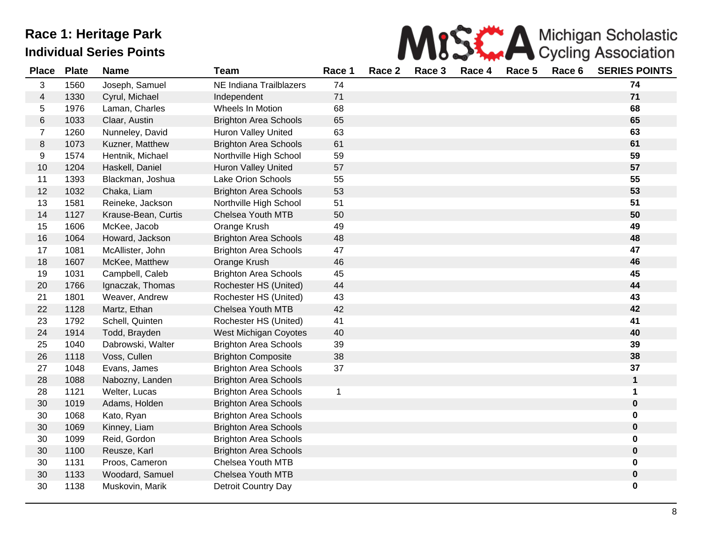

| <b>Place</b> | <b>Plate</b> | <b>Name</b>         | <b>Team</b>                  | Race 1 | Race 2 | Race 3 | Race 4 | Race 5 | Race 6 | <b>SERIES POINTS</b> |
|--------------|--------------|---------------------|------------------------------|--------|--------|--------|--------|--------|--------|----------------------|
| 3            | 1560         | Joseph, Samuel      | NE Indiana Trailblazers      | 74     |        |        |        |        |        | 74                   |
| 4            | 1330         | Cyrul, Michael      | Independent                  | 71     |        |        |        |        |        | 71                   |
| 5            | 1976         | Laman, Charles      | Wheels In Motion             | 68     |        |        |        |        |        | 68                   |
| $\,6$        | 1033         | Claar, Austin       | <b>Brighton Area Schools</b> | 65     |        |        |        |        |        | 65                   |
| 7            | 1260         | Nunneley, David     | <b>Huron Valley United</b>   | 63     |        |        |        |        |        | 63                   |
| $\,8\,$      | 1073         | Kuzner, Matthew     | <b>Brighton Area Schools</b> | 61     |        |        |        |        |        | 61                   |
| 9            | 1574         | Hentnik, Michael    | Northville High School       | 59     |        |        |        |        |        | 59                   |
| 10           | 1204         | Haskell, Daniel     | Huron Valley United          | 57     |        |        |        |        |        | 57                   |
| 11           | 1393         | Blackman, Joshua    | <b>Lake Orion Schools</b>    | 55     |        |        |        |        |        | 55                   |
| 12           | 1032         | Chaka, Liam         | <b>Brighton Area Schools</b> | 53     |        |        |        |        |        | 53                   |
| 13           | 1581         | Reineke, Jackson    | Northville High School       | 51     |        |        |        |        |        | 51                   |
| 14           | 1127         | Krause-Bean, Curtis | Chelsea Youth MTB            | 50     |        |        |        |        |        | 50                   |
| 15           | 1606         | McKee, Jacob        | Orange Krush                 | 49     |        |        |        |        |        | 49                   |
| 16           | 1064         | Howard, Jackson     | <b>Brighton Area Schools</b> | 48     |        |        |        |        |        | 48                   |
| 17           | 1081         | McAllister, John    | <b>Brighton Area Schools</b> | 47     |        |        |        |        |        | 47                   |
| 18           | 1607         | McKee, Matthew      | Orange Krush                 | 46     |        |        |        |        |        | 46                   |
| 19           | 1031         | Campbell, Caleb     | <b>Brighton Area Schools</b> | 45     |        |        |        |        |        | 45                   |
| 20           | 1766         | Ignaczak, Thomas    | Rochester HS (United)        | 44     |        |        |        |        |        | 44                   |
| 21           | 1801         | Weaver, Andrew      | Rochester HS (United)        | 43     |        |        |        |        |        | 43                   |
| 22           | 1128         | Martz, Ethan        | Chelsea Youth MTB            | 42     |        |        |        |        |        | 42                   |
| 23           | 1792         | Schell, Quinten     | Rochester HS (United)        | 41     |        |        |        |        |        | 41                   |
| 24           | 1914         | Todd, Brayden       | West Michigan Coyotes        | 40     |        |        |        |        |        | 40                   |
| 25           | 1040         | Dabrowski, Walter   | <b>Brighton Area Schools</b> | 39     |        |        |        |        |        | 39                   |
| 26           | 1118         | Voss, Cullen        | <b>Brighton Composite</b>    | 38     |        |        |        |        |        | 38                   |
| 27           | 1048         | Evans, James        | <b>Brighton Area Schools</b> | 37     |        |        |        |        |        | 37                   |
| 28           | 1088         | Nabozny, Landen     | <b>Brighton Area Schools</b> |        |        |        |        |        |        | $\mathbf 1$          |
| 28           | 1121         | Welter, Lucas       | <b>Brighton Area Schools</b> | 1      |        |        |        |        |        | $\mathbf 1$          |
| 30           | 1019         | Adams, Holden       | <b>Brighton Area Schools</b> |        |        |        |        |        |        | $\pmb{0}$            |
| 30           | 1068         | Kato, Ryan          | <b>Brighton Area Schools</b> |        |        |        |        |        |        | 0                    |
| 30           | 1069         | Kinney, Liam        | <b>Brighton Area Schools</b> |        |        |        |        |        |        | $\pmb{0}$            |
| 30           | 1099         | Reid, Gordon        | <b>Brighton Area Schools</b> |        |        |        |        |        |        | 0                    |
| 30           | 1100         | Reusze, Karl        | <b>Brighton Area Schools</b> |        |        |        |        |        |        | $\pmb{0}$            |
| 30           | 1131         | Proos, Cameron      | Chelsea Youth MTB            |        |        |        |        |        |        | $\mathbf 0$          |
| 30           | 1133         | Woodard, Samuel     | <b>Chelsea Youth MTB</b>     |        |        |        |        |        |        | $\pmb{0}$            |
| 30           | 1138         | Muskovin, Marik     | Detroit Country Day          |        |        |        |        |        |        | 0                    |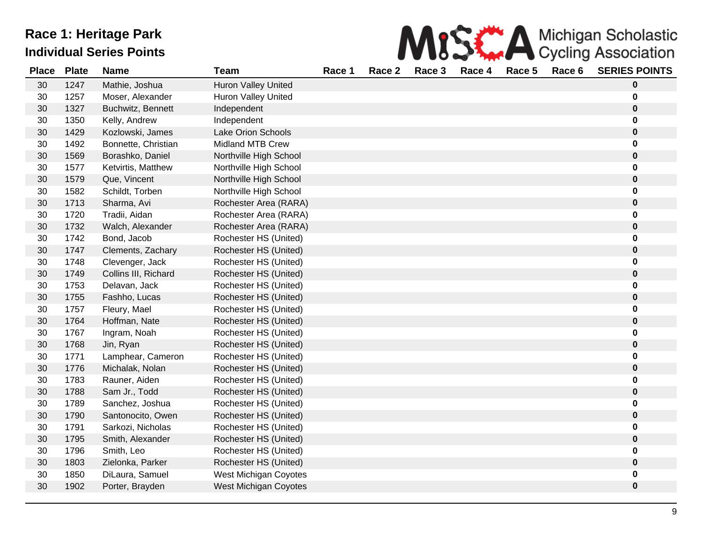|  | MISS A Michigan Scholastic |
|--|----------------------------|
|  |                            |

| <b>Place</b> | <b>Plate</b> | <b>Name</b>          | Team                       | Race 1 | Race 2 | Race 3 | Race 4 | Race 5 | Race 6 | <b>SERIES POINTS</b> |
|--------------|--------------|----------------------|----------------------------|--------|--------|--------|--------|--------|--------|----------------------|
| 30           | 1247         | Mathie, Joshua       | <b>Huron Valley United</b> |        |        |        |        |        |        | 0                    |
| 30           | 1257         | Moser, Alexander     | <b>Huron Valley United</b> |        |        |        |        |        |        | 0                    |
| 30           | 1327         | Buchwitz, Bennett    | Independent                |        |        |        |        |        |        | 0                    |
| 30           | 1350         | Kelly, Andrew        | Independent                |        |        |        |        |        |        | 0                    |
| 30           | 1429         | Kozlowski, James     | <b>Lake Orion Schools</b>  |        |        |        |        |        |        | 0                    |
| 30           | 1492         | Bonnette, Christian  | Midland MTB Crew           |        |        |        |        |        |        | 0                    |
| 30           | 1569         | Borashko, Daniel     | Northville High School     |        |        |        |        |        |        | 0                    |
| 30           | 1577         | Ketvirtis, Matthew   | Northville High School     |        |        |        |        |        |        | 0                    |
| 30           | 1579         | Que, Vincent         | Northville High School     |        |        |        |        |        |        | 0                    |
| 30           | 1582         | Schildt, Torben      | Northville High School     |        |        |        |        |        |        |                      |
| 30           | 1713         | Sharma, Avi          | Rochester Area (RARA)      |        |        |        |        |        |        | 0                    |
| 30           | 1720         | Tradii, Aidan        | Rochester Area (RARA)      |        |        |        |        |        |        |                      |
| 30           | 1732         | Walch, Alexander     | Rochester Area (RARA)      |        |        |        |        |        |        | 0                    |
| 30           | 1742         | Bond, Jacob          | Rochester HS (United)      |        |        |        |        |        |        | 0                    |
| 30           | 1747         | Clements, Zachary    | Rochester HS (United)      |        |        |        |        |        |        | 0                    |
| 30           | 1748         | Clevenger, Jack      | Rochester HS (United)      |        |        |        |        |        |        | 0                    |
| 30           | 1749         | Collins III, Richard | Rochester HS (United)      |        |        |        |        |        |        | 0                    |
| 30           | 1753         | Delavan, Jack        | Rochester HS (United)      |        |        |        |        |        |        | 0                    |
| 30           | 1755         | Fashho, Lucas        | Rochester HS (United)      |        |        |        |        |        |        | 0                    |
| 30           | 1757         | Fleury, Mael         | Rochester HS (United)      |        |        |        |        |        |        | 0                    |
| 30           | 1764         | Hoffman, Nate        | Rochester HS (United)      |        |        |        |        |        |        | 0                    |
| 30           | 1767         | Ingram, Noah         | Rochester HS (United)      |        |        |        |        |        |        | 0                    |
| 30           | 1768         | Jin, Ryan            | Rochester HS (United)      |        |        |        |        |        |        | 0                    |
| 30           | 1771         | Lamphear, Cameron    | Rochester HS (United)      |        |        |        |        |        |        | 0                    |
| 30           | 1776         | Michalak, Nolan      | Rochester HS (United)      |        |        |        |        |        |        | 0                    |
| 30           | 1783         | Rauner, Aiden        | Rochester HS (United)      |        |        |        |        |        |        | 0                    |
| 30           | 1788         | Sam Jr., Todd        | Rochester HS (United)      |        |        |        |        |        |        | 0                    |
| 30           | 1789         | Sanchez, Joshua      | Rochester HS (United)      |        |        |        |        |        |        | 0                    |
| 30           | 1790         | Santonocito, Owen    | Rochester HS (United)      |        |        |        |        |        |        | 0                    |
| 30           | 1791         | Sarkozi, Nicholas    | Rochester HS (United)      |        |        |        |        |        |        | 0                    |
| 30           | 1795         | Smith, Alexander     | Rochester HS (United)      |        |        |        |        |        |        | 0                    |
| 30           | 1796         | Smith, Leo           | Rochester HS (United)      |        |        |        |        |        |        | 0                    |
| 30           | 1803         | Zielonka, Parker     | Rochester HS (United)      |        |        |        |        |        |        | 0                    |
| 30           | 1850         | DiLaura, Samuel      | West Michigan Coyotes      |        |        |        |        |        |        | 0                    |
| 30           | 1902         | Porter, Brayden      | West Michigan Coyotes      |        |        |        |        |        |        | 0                    |
|              |              |                      |                            |        |        |        |        |        |        |                      |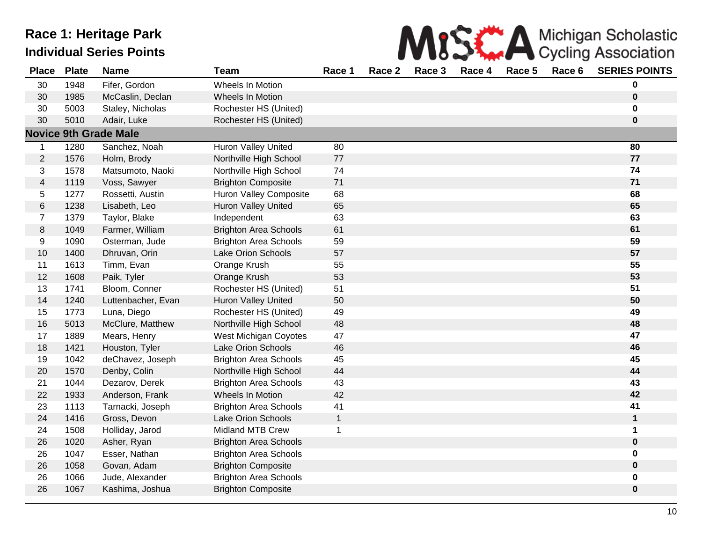|  | MISS A Michigan Scholastic |
|--|----------------------------|
|  |                            |

| <b>Place</b>   | <b>Plate</b> | <b>Name</b>                  | <b>Team</b>                   | Race 1       | Race 2 | Race 3 | Race 4 | Race 5 | Race 6 | <b>SERIES POINTS</b> |
|----------------|--------------|------------------------------|-------------------------------|--------------|--------|--------|--------|--------|--------|----------------------|
| 30             | 1948         | Fifer, Gordon                | Wheels In Motion              |              |        |        |        |        |        | $\mathbf 0$          |
| 30             | 1985         | McCaslin, Declan             | Wheels In Motion              |              |        |        |        |        |        | $\pmb{0}$            |
| 30             | 5003         | Staley, Nicholas             | Rochester HS (United)         |              |        |        |        |        |        | $\mathbf 0$          |
| 30             | 5010         | Adair, Luke                  | Rochester HS (United)         |              |        |        |        |        |        | $\bf{0}$             |
|                |              | <b>Novice 9th Grade Male</b> |                               |              |        |        |        |        |        |                      |
| $\mathbf 1$    | 1280         | Sanchez, Noah                | Huron Valley United           | 80           |        |        |        |        |        | 80                   |
| $\mathbf{2}$   | 1576         | Holm, Brody                  | Northville High School        | 77           |        |        |        |        |        | 77                   |
| 3              | 1578         | Matsumoto, Naoki             | Northville High School        | 74           |        |        |        |        |        | 74                   |
| $\overline{4}$ | 1119         | Voss, Sawyer                 | <b>Brighton Composite</b>     | 71           |        |        |        |        |        | 71                   |
| 5              | 1277         | Rossetti, Austin             | <b>Huron Valley Composite</b> | 68           |        |        |        |        |        | 68                   |
| $\,6$          | 1238         | Lisabeth, Leo                | Huron Valley United           | 65           |        |        |        |        |        | 65                   |
| $\overline{7}$ | 1379         | Taylor, Blake                | Independent                   | 63           |        |        |        |        |        | 63                   |
| 8              | 1049         | Farmer, William              | <b>Brighton Area Schools</b>  | 61           |        |        |        |        |        | 61                   |
| 9              | 1090         | Osterman, Jude               | <b>Brighton Area Schools</b>  | 59           |        |        |        |        |        | 59                   |
| 10             | 1400         | Dhruvan, Orin                | Lake Orion Schools            | 57           |        |        |        |        |        | 57                   |
| 11             | 1613         | Timm, Evan                   | Orange Krush                  | 55           |        |        |        |        |        | 55                   |
| 12             | 1608         | Paik, Tyler                  | Orange Krush                  | 53           |        |        |        |        |        | 53                   |
| 13             | 1741         | Bloom, Conner                | Rochester HS (United)         | 51           |        |        |        |        |        | 51                   |
| 14             | 1240         | Luttenbacher, Evan           | Huron Valley United           | 50           |        |        |        |        |        | 50                   |
| 15             | 1773         | Luna, Diego                  | Rochester HS (United)         | 49           |        |        |        |        |        | 49                   |
| 16             | 5013         | McClure, Matthew             | Northville High School        | 48           |        |        |        |        |        | 48                   |
| 17             | 1889         | Mears, Henry                 | West Michigan Coyotes         | 47           |        |        |        |        |        | 47                   |
| 18             | 1421         | Houston, Tyler               | Lake Orion Schools            | 46           |        |        |        |        |        | 46                   |
| 19             | 1042         | deChavez, Joseph             | <b>Brighton Area Schools</b>  | 45           |        |        |        |        |        | 45                   |
| 20             | 1570         | Denby, Colin                 | Northville High School        | 44           |        |        |        |        |        | 44                   |
| 21             | 1044         | Dezarov, Derek               | <b>Brighton Area Schools</b>  | 43           |        |        |        |        |        | 43                   |
| 22             | 1933         | Anderson, Frank              | Wheels In Motion              | 42           |        |        |        |        |        | 42                   |
| 23             | 1113         | Tarnacki, Joseph             | <b>Brighton Area Schools</b>  | 41           |        |        |        |        |        | 41                   |
| 24             | 1416         | Gross, Devon                 | Lake Orion Schools            | $\mathbf{1}$ |        |        |        |        |        | $\mathbf 1$          |
| 24             | 1508         | Holliday, Jarod              | <b>Midland MTB Crew</b>       | 1            |        |        |        |        |        | 1                    |
| 26             | 1020         | Asher, Ryan                  | <b>Brighton Area Schools</b>  |              |        |        |        |        |        | $\bf{0}$             |
| 26             | 1047         | Esser, Nathan                | <b>Brighton Area Schools</b>  |              |        |        |        |        |        | $\mathbf 0$          |
| 26             | 1058         | Govan, Adam                  | <b>Brighton Composite</b>     |              |        |        |        |        |        | $\pmb{0}$            |
| 26             | 1066         | Jude, Alexander              | <b>Brighton Area Schools</b>  |              |        |        |        |        |        | $\pmb{0}$            |
| 26             | 1067         | Kashima, Joshua              | <b>Brighton Composite</b>     |              |        |        |        |        |        | $\pmb{0}$            |
|                |              |                              |                               |              |        |        |        |        |        |                      |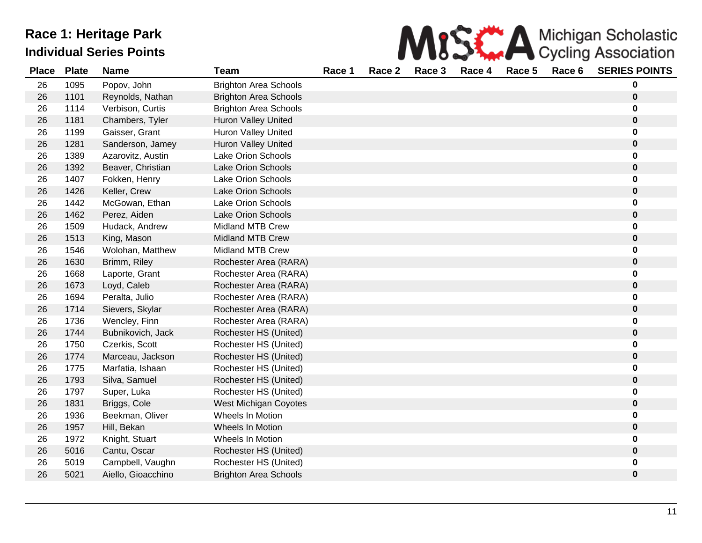| MISS A Michigan Scholastic |
|----------------------------|
|                            |

| <b>Place</b> | <b>Plate</b> | <b>Name</b>        | Team                         | Race 1 | Race 2 | Race 3 | Race 4 | Race 5 | Race 6 | <b>SERIES POINTS</b> |
|--------------|--------------|--------------------|------------------------------|--------|--------|--------|--------|--------|--------|----------------------|
| 26           | 1095         | Popov, John        | <b>Brighton Area Schools</b> |        |        |        |        |        |        | 0                    |
| 26           | 1101         | Reynolds, Nathan   | <b>Brighton Area Schools</b> |        |        |        |        |        |        | $\bf{0}$             |
| 26           | 1114         | Verbison, Curtis   | <b>Brighton Area Schools</b> |        |        |        |        |        |        | 0                    |
| 26           | 1181         | Chambers, Tyler    | <b>Huron Valley United</b>   |        |        |        |        |        |        | $\mathbf 0$          |
| 26           | 1199         | Gaisser, Grant     | <b>Huron Valley United</b>   |        |        |        |        |        |        |                      |
| 26           | 1281         | Sanderson, Jamey   | Huron Valley United          |        |        |        |        |        |        | 0                    |
| 26           | 1389         | Azarovitz, Austin  | <b>Lake Orion Schools</b>    |        |        |        |        |        |        | 0                    |
| 26           | 1392         | Beaver, Christian  | Lake Orion Schools           |        |        |        |        |        |        | 0                    |
| 26           | 1407         | Fokken, Henry      | Lake Orion Schools           |        |        |        |        |        |        | 0                    |
| 26           | 1426         | Keller, Crew       | Lake Orion Schools           |        |        |        |        |        |        | 0                    |
| 26           | 1442         | McGowan, Ethan     | Lake Orion Schools           |        |        |        |        |        |        | 0                    |
| 26           | 1462         | Perez, Aiden       | <b>Lake Orion Schools</b>    |        |        |        |        |        |        | $\mathbf 0$          |
| 26           | 1509         | Hudack, Andrew     | <b>Midland MTB Crew</b>      |        |        |        |        |        |        | 0                    |
| 26           | 1513         | King, Mason        | <b>Midland MTB Crew</b>      |        |        |        |        |        |        | 0                    |
| 26           | 1546         | Wolohan, Matthew   | <b>Midland MTB Crew</b>      |        |        |        |        |        |        | 0                    |
| 26           | 1630         | Brimm, Riley       | Rochester Area (RARA)        |        |        |        |        |        |        | $\mathbf 0$          |
| 26           | 1668         | Laporte, Grant     | Rochester Area (RARA)        |        |        |        |        |        |        | 0                    |
| 26           | 1673         | Loyd, Caleb        | Rochester Area (RARA)        |        |        |        |        |        |        | 0                    |
| 26           | 1694         | Peralta, Julio     | Rochester Area (RARA)        |        |        |        |        |        |        | 0                    |
| 26           | 1714         | Sievers, Skylar    | Rochester Area (RARA)        |        |        |        |        |        |        | $\pmb{0}$            |
| 26           | 1736         | Wencley, Finn      | Rochester Area (RARA)        |        |        |        |        |        |        | 0                    |
| 26           | 1744         | Bubnikovich, Jack  | Rochester HS (United)        |        |        |        |        |        |        | $\mathbf 0$          |
| 26           | 1750         | Czerkis, Scott     | Rochester HS (United)        |        |        |        |        |        |        |                      |
| 26           | 1774         | Marceau, Jackson   | Rochester HS (United)        |        |        |        |        |        |        | 0                    |
| 26           | 1775         | Marfatia, Ishaan   | Rochester HS (United)        |        |        |        |        |        |        | 0                    |
| 26           | 1793         | Silva, Samuel      | Rochester HS (United)        |        |        |        |        |        |        | 0                    |
| 26           | 1797         | Super, Luka        | Rochester HS (United)        |        |        |        |        |        |        | 0                    |
| 26           | 1831         | Briggs, Cole       | West Michigan Coyotes        |        |        |        |        |        |        | $\mathbf 0$          |
| 26           | 1936         | Beekman, Oliver    | Wheels In Motion             |        |        |        |        |        |        | 0                    |
| 26           | 1957         | Hill, Bekan        | Wheels In Motion             |        |        |        |        |        |        | 0                    |
| 26           | 1972         | Knight, Stuart     | Wheels In Motion             |        |        |        |        |        |        | 0                    |
| 26           | 5016         | Cantu, Oscar       | Rochester HS (United)        |        |        |        |        |        |        | 0                    |
| 26           | 5019         | Campbell, Vaughn   | Rochester HS (United)        |        |        |        |        |        |        | 0                    |
| 26           | 5021         | Aiello, Gioacchino | <b>Brighton Area Schools</b> |        |        |        |        |        |        | 0                    |
|              |              |                    |                              |        |        |        |        |        |        |                      |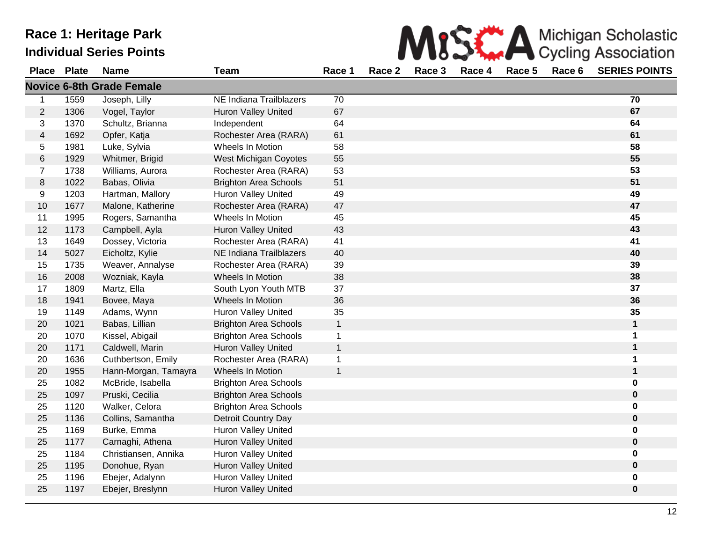**Place Plate Name 51 Team** 

| Race 3 Race 4 Race 5 Race 6 SERIES POINTS |        |        |  |  | MISK A Michigan Scholastic |  |
|-------------------------------------------|--------|--------|--|--|----------------------------|--|
|                                           | Race 1 | Race 2 |  |  |                            |  |

|                         |      | <b>Novice 6-8th Grade Female</b> |                              |              |             |
|-------------------------|------|----------------------------------|------------------------------|--------------|-------------|
| 1                       | 1559 | Joseph, Lilly                    | NE Indiana Trailblazers      | 70           | 70          |
| $\sqrt{2}$              | 1306 | Vogel, Taylor                    | Huron Valley United          | 67           | 67          |
| 3                       | 1370 | Schultz, Brianna                 | Independent                  | 64           | 64          |
| $\overline{\mathbf{4}}$ | 1692 | Opfer, Katja                     | Rochester Area (RARA)        | 61           | 61          |
| $\mathbf 5$             | 1981 | Luke, Sylvia                     | Wheels In Motion             | 58           | 58          |
| $\,6$                   | 1929 | Whitmer, Brigid                  | <b>West Michigan Coyotes</b> | 55           | 55          |
| $\overline{7}$          | 1738 | Williams, Aurora                 | Rochester Area (RARA)        | 53           | 53          |
| $\bf 8$                 | 1022 | Babas, Olivia                    | <b>Brighton Area Schools</b> | 51           | 51          |
| 9                       | 1203 | Hartman, Mallory                 | <b>Huron Valley United</b>   | 49           | 49          |
| 10                      | 1677 | Malone, Katherine                | Rochester Area (RARA)        | 47           | 47          |
| 11                      | 1995 | Rogers, Samantha                 | Wheels In Motion             | 45           | 45          |
| 12                      | 1173 | Campbell, Ayla                   | <b>Huron Valley United</b>   | 43           | 43          |
| 13                      | 1649 | Dossey, Victoria                 | Rochester Area (RARA)        | 41           | 41          |
| 14                      | 5027 | Eicholtz, Kylie                  | NE Indiana Trailblazers      | 40           | 40          |
| 15                      | 1735 | Weaver, Annalyse                 | Rochester Area (RARA)        | 39           | 39          |
| 16                      | 2008 | Wozniak, Kayla                   | Wheels In Motion             | 38           | 38          |
| 17                      | 1809 | Martz, Ella                      | South Lyon Youth MTB         | 37           | 37          |
| 18                      | 1941 | Bovee, Maya                      | Wheels In Motion             | 36           | 36          |
| 19                      | 1149 | Adams, Wynn                      | Huron Valley United          | 35           | 35          |
| 20                      | 1021 | Babas, Lillian                   | <b>Brighton Area Schools</b> | $\mathbf{1}$ | $\mathbf 1$ |
| 20                      | 1070 | Kissel, Abigail                  | <b>Brighton Area Schools</b> | 1            | $\mathbf 1$ |
| 20                      | 1171 | Caldwell, Marin                  | Huron Valley United          | $\mathbf{1}$ | $\mathbf 1$ |
| 20                      | 1636 | Cuthbertson, Emily               | Rochester Area (RARA)        | 1            | 1           |
| 20                      | 1955 | Hann-Morgan, Tamayra             | Wheels In Motion             | $\mathbf{1}$ | $\mathbf 1$ |
| 25                      | 1082 | McBride, Isabella                | <b>Brighton Area Schools</b> |              | 0           |
| 25                      | 1097 | Pruski, Cecilia                  | <b>Brighton Area Schools</b> |              | $\pmb{0}$   |
| 25                      | 1120 | Walker, Celora                   | <b>Brighton Area Schools</b> |              | 0           |
| 25                      | 1136 | Collins, Samantha                | Detroit Country Day          |              | $\pmb{0}$   |
| 25                      | 1169 | Burke, Emma                      | Huron Valley United          |              | 0           |
| 25                      | 1177 | Carnaghi, Athena                 | Huron Valley United          |              | $\pmb{0}$   |
| 25                      | 1184 | Christiansen, Annika             | Huron Valley United          |              | $\pmb{0}$   |
| 25                      | 1195 | Donohue, Ryan                    | Huron Valley United          |              | $\pmb{0}$   |
| 25                      | 1196 | Ebejer, Adalynn                  | Huron Valley United          |              | 0           |
| 25                      | 1197 | Ebejer, Breslynn                 | Huron Valley United          |              | $\pmb{0}$   |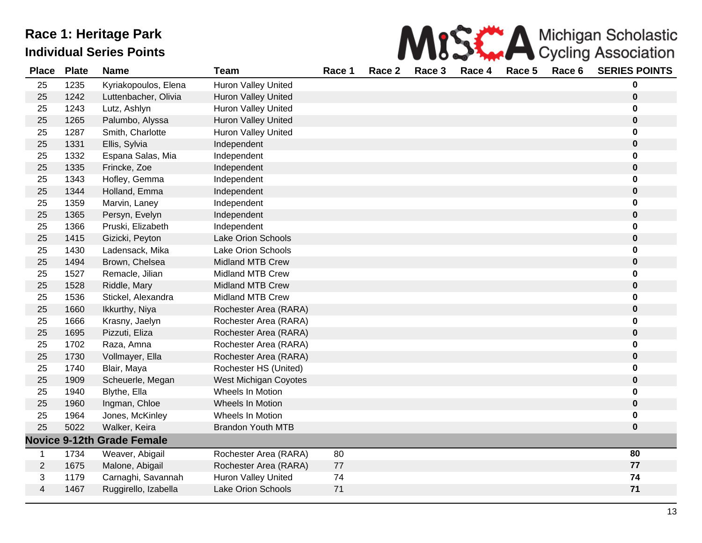| MISS A Michigan Scholastic |
|----------------------------|
|                            |

| <b>Place</b> | <b>Plate</b> | <b>Name</b>                       | <b>Team</b>                | Race 1 | Race 2 | Race 3 | Race 4 | Race 5 | Race 6 | <b>SERIES POINTS</b> |
|--------------|--------------|-----------------------------------|----------------------------|--------|--------|--------|--------|--------|--------|----------------------|
| 25           | 1235         | Kyriakopoulos, Elena              | Huron Valley United        |        |        |        |        |        |        | 0                    |
| 25           | 1242         | Luttenbacher, Olivia              | <b>Huron Valley United</b> |        |        |        |        |        |        | $\pmb{0}$            |
| 25           | 1243         | Lutz, Ashlyn                      | <b>Huron Valley United</b> |        |        |        |        |        |        | 0                    |
| 25           | 1265         | Palumbo, Alyssa                   | <b>Huron Valley United</b> |        |        |        |        |        |        | $\bf{0}$             |
| 25           | 1287         | Smith, Charlotte                  | Huron Valley United        |        |        |        |        |        |        | 0                    |
| 25           | 1331         | Ellis, Sylvia                     | Independent                |        |        |        |        |        |        | $\bf{0}$             |
| 25           | 1332         | Espana Salas, Mia                 | Independent                |        |        |        |        |        |        | $\bf{0}$             |
| 25           | 1335         | Frincke, Zoe                      | Independent                |        |        |        |        |        |        | $\pmb{0}$            |
| 25           | 1343         | Hofley, Gemma                     | Independent                |        |        |        |        |        |        | 0                    |
| 25           | 1344         | Holland, Emma                     | Independent                |        |        |        |        |        |        | $\pmb{0}$            |
| 25           | 1359         | Marvin, Laney                     | Independent                |        |        |        |        |        |        | $\bf{0}$             |
| 25           | 1365         | Persyn, Evelyn                    | Independent                |        |        |        |        |        |        | $\pmb{0}$            |
| 25           | 1366         | Pruski, Elizabeth                 | Independent                |        |        |        |        |        |        | $\mathbf 0$          |
| 25           | 1415         | Gizicki, Peyton                   | <b>Lake Orion Schools</b>  |        |        |        |        |        |        | $\pmb{0}$            |
| 25           | 1430         | Ladensack, Mika                   | <b>Lake Orion Schools</b>  |        |        |        |        |        |        | 0                    |
| 25           | 1494         | Brown, Chelsea                    | <b>Midland MTB Crew</b>    |        |        |        |        |        |        | $\pmb{0}$            |
| 25           | 1527         | Remacle, Jilian                   | <b>Midland MTB Crew</b>    |        |        |        |        |        |        | 0                    |
| 25           | 1528         | Riddle, Mary                      | <b>Midland MTB Crew</b>    |        |        |        |        |        |        | $\pmb{0}$            |
| 25           | 1536         | Stickel, Alexandra                | <b>Midland MTB Crew</b>    |        |        |        |        |        |        | 0                    |
| 25           | 1660         | Ikkurthy, Niya                    | Rochester Area (RARA)      |        |        |        |        |        |        | $\pmb{0}$            |
| 25           | 1666         | Krasny, Jaelyn                    | Rochester Area (RARA)      |        |        |        |        |        |        | 0                    |
| 25           | 1695         | Pizzuti, Eliza                    | Rochester Area (RARA)      |        |        |        |        |        |        | $\pmb{0}$            |
| 25           | 1702         | Raza, Amna                        | Rochester Area (RARA)      |        |        |        |        |        |        | 0                    |
| 25           | 1730         | Vollmayer, Ella                   | Rochester Area (RARA)      |        |        |        |        |        |        | $\pmb{0}$            |
| 25           | 1740         | Blair, Maya                       | Rochester HS (United)      |        |        |        |        |        |        | 0                    |
| 25           | 1909         | Scheuerle, Megan                  | West Michigan Coyotes      |        |        |        |        |        |        | $\bf{0}$             |
| 25           | 1940         | Blythe, Ella                      | Wheels In Motion           |        |        |        |        |        |        | 0                    |
| 25           | 1960         | Ingman, Chloe                     | Wheels In Motion           |        |        |        |        |        |        | $\pmb{0}$            |
| 25           | 1964         | Jones, McKinley                   | Wheels In Motion           |        |        |        |        |        |        | 0                    |
| 25           | 5022         | Walker, Keira                     | <b>Brandon Youth MTB</b>   |        |        |        |        |        |        | $\bf{0}$             |
|              |              | <b>Novice 9-12th Grade Female</b> |                            |        |        |        |        |        |        |                      |
| 1            | 1734         | Weaver, Abigail                   | Rochester Area (RARA)      | 80     |        |        |        |        |        | 80                   |
| $\mathbf{2}$ | 1675         | Malone, Abigail                   | Rochester Area (RARA)      | 77     |        |        |        |        |        | 77                   |
| 3            | 1179         | Carnaghi, Savannah                | Huron Valley United        | 74     |        |        |        |        |        | 74                   |
| 4            | 1467         | Ruggirello, Izabella              | Lake Orion Schools         | 71     |        |        |        |        |        | 71                   |
|              |              |                                   |                            |        |        |        |        |        |        |                      |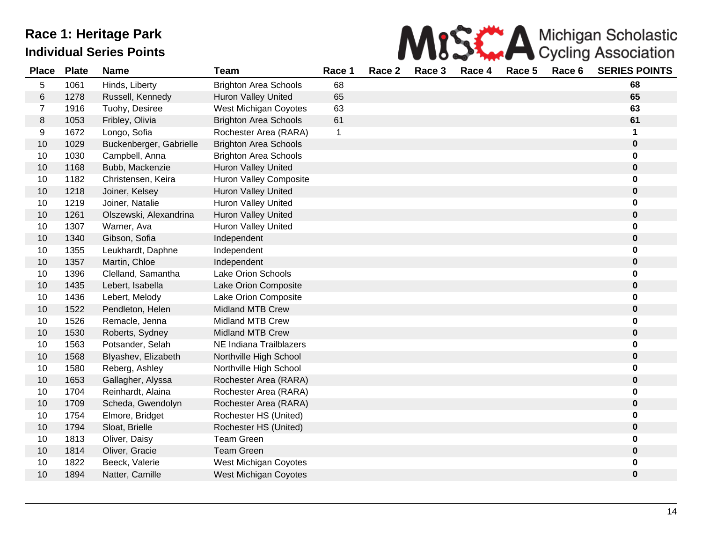

| <b>Place</b> | <b>Plate</b> | <b>Name</b>             | <b>Team</b>                  | Race 1      | Race 2 | Race 3 | Race 4 | Race 5 | Race 6 | <b>SERIES POINTS</b> |
|--------------|--------------|-------------------------|------------------------------|-------------|--------|--------|--------|--------|--------|----------------------|
| 5            | 1061         | Hinds, Liberty          | <b>Brighton Area Schools</b> | 68          |        |        |        |        |        | 68                   |
| 6            | 1278         | Russell, Kennedy        | <b>Huron Valley United</b>   | 65          |        |        |        |        |        | 65                   |
| 7            | 1916         | Tuohy, Desiree          | West Michigan Coyotes        | 63          |        |        |        |        |        | 63                   |
| $\,8\,$      | 1053         | Fribley, Olivia         | <b>Brighton Area Schools</b> | 61          |        |        |        |        |        | 61                   |
| 9            | 1672         | Longo, Sofia            | Rochester Area (RARA)        | $\mathbf 1$ |        |        |        |        |        | 1                    |
| 10           | 1029         | Buckenberger, Gabrielle | <b>Brighton Area Schools</b> |             |        |        |        |        |        | 0                    |
| 10           | 1030         | Campbell, Anna          | <b>Brighton Area Schools</b> |             |        |        |        |        |        | 0                    |
| 10           | 1168         | Bubb, Mackenzie         | <b>Huron Valley United</b>   |             |        |        |        |        |        | $\mathbf 0$          |
| 10           | 1182         | Christensen, Keira      | Huron Valley Composite       |             |        |        |        |        |        | 0                    |
| 10           | 1218         | Joiner, Kelsey          | <b>Huron Valley United</b>   |             |        |        |        |        |        | 0                    |
| 10           | 1219         | Joiner, Natalie         | <b>Huron Valley United</b>   |             |        |        |        |        |        | 0                    |
| 10           | 1261         | Olszewski, Alexandrina  | <b>Huron Valley United</b>   |             |        |        |        |        |        | 0                    |
| 10           | 1307         | Warner, Ava             | <b>Huron Valley United</b>   |             |        |        |        |        |        | 0                    |
| 10           | 1340         | Gibson, Sofia           | Independent                  |             |        |        |        |        |        | $\mathbf 0$          |
| 10           | 1355         | Leukhardt, Daphne       | Independent                  |             |        |        |        |        |        | 0                    |
| 10           | 1357         | Martin, Chloe           | Independent                  |             |        |        |        |        |        | 0                    |
| 10           | 1396         | Clelland, Samantha      | Lake Orion Schools           |             |        |        |        |        |        | 0                    |
| 10           | 1435         | Lebert, Isabella        | Lake Orion Composite         |             |        |        |        |        |        | $\mathbf 0$          |
| 10           | 1436         | Lebert, Melody          | Lake Orion Composite         |             |        |        |        |        |        | 0                    |
| 10           | 1522         | Pendleton, Helen        | <b>Midland MTB Crew</b>      |             |        |        |        |        |        | 0                    |
| 10           | 1526         | Remacle, Jenna          | <b>Midland MTB Crew</b>      |             |        |        |        |        |        | 0                    |
| 10           | 1530         | Roberts, Sydney         | <b>Midland MTB Crew</b>      |             |        |        |        |        |        | $\mathbf 0$          |
| 10           | 1563         | Potsander, Selah        | NE Indiana Trailblazers      |             |        |        |        |        |        | 0                    |
| 10           | 1568         | Blyashev, Elizabeth     | Northville High School       |             |        |        |        |        |        | 0                    |
| 10           | 1580         | Reberg, Ashley          | Northville High School       |             |        |        |        |        |        | 0                    |
| 10           | 1653         | Gallagher, Alyssa       | Rochester Area (RARA)        |             |        |        |        |        |        | 0                    |
| 10           | 1704         | Reinhardt, Alaina       | Rochester Area (RARA)        |             |        |        |        |        |        | 0                    |
| 10           | 1709         | Scheda, Gwendolyn       | Rochester Area (RARA)        |             |        |        |        |        |        | 0                    |
| 10           | 1754         | Elmore, Bridget         | Rochester HS (United)        |             |        |        |        |        |        | 0                    |
| 10           | 1794         | Sloat, Brielle          | Rochester HS (United)        |             |        |        |        |        |        | 0                    |
| 10           | 1813         | Oliver, Daisy           | <b>Team Green</b>            |             |        |        |        |        |        | 0                    |
| 10           | 1814         | Oliver, Gracie          | <b>Team Green</b>            |             |        |        |        |        |        | 0                    |
| 10           | 1822         | Beeck, Valerie          | West Michigan Coyotes        |             |        |        |        |        |        | 0                    |
| 10           | 1894         | Natter, Camille         | West Michigan Coyotes        |             |        |        |        |        |        | 0                    |
|              |              |                         |                              |             |        |        |        |        |        |                      |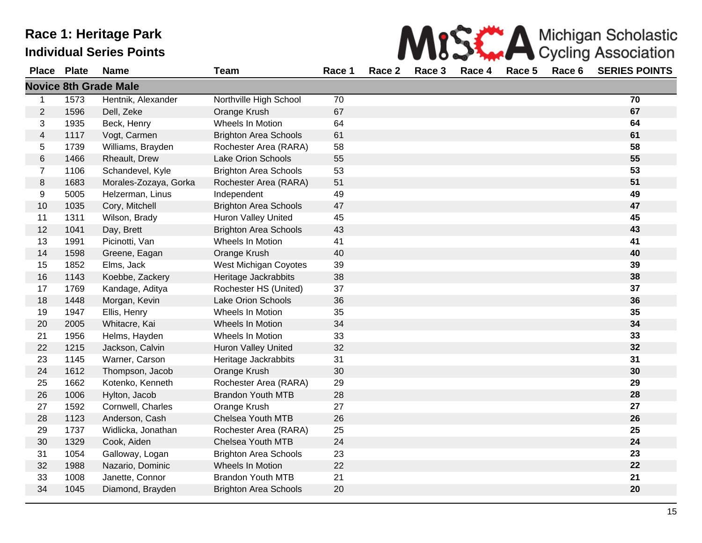**Place Plate Name 51 Team** 

|                                                            |  |  |  | MISS A Michigan Scholastic |
|------------------------------------------------------------|--|--|--|----------------------------|
| Race 2 Race 3 Race 4 Race 5 Race 6 SERIES POINTS<br>Race 1 |  |  |  |                            |

|                         |      | <b>Novice 8th Grade Male</b> |                              |    |    |
|-------------------------|------|------------------------------|------------------------------|----|----|
| 1                       | 1573 | Hentnik, Alexander           | Northville High School       | 70 | 70 |
| $\overline{2}$          | 1596 | Dell, Zeke                   | Orange Krush                 | 67 | 67 |
| 3                       | 1935 | Beck, Henry                  | Wheels In Motion             | 64 | 64 |
| $\overline{\mathbf{4}}$ | 1117 | Vogt, Carmen                 | <b>Brighton Area Schools</b> | 61 | 61 |
| 5                       | 1739 | Williams, Brayden            | Rochester Area (RARA)        | 58 | 58 |
| $\,6$                   | 1466 | Rheault, Drew                | <b>Lake Orion Schools</b>    | 55 | 55 |
| $\overline{7}$          | 1106 | Schandevel, Kyle             | <b>Brighton Area Schools</b> | 53 | 53 |
| 8                       | 1683 | Morales-Zozaya, Gorka        | Rochester Area (RARA)        | 51 | 51 |
| 9                       | 5005 | Helzerman, Linus             | Independent                  | 49 | 49 |
| 10                      | 1035 | Cory, Mitchell               | <b>Brighton Area Schools</b> | 47 | 47 |
| 11                      | 1311 | Wilson, Brady                | Huron Valley United          | 45 | 45 |
| 12                      | 1041 | Day, Brett                   | <b>Brighton Area Schools</b> | 43 | 43 |
| 13                      | 1991 | Picinotti, Van               | Wheels In Motion             | 41 | 41 |
| 14                      | 1598 | Greene, Eagan                | Orange Krush                 | 40 | 40 |
| 15                      | 1852 | Elms, Jack                   | West Michigan Coyotes        | 39 | 39 |
| 16                      | 1143 | Koebbe, Zackery              | Heritage Jackrabbits         | 38 | 38 |
| 17                      | 1769 | Kandage, Aditya              | Rochester HS (United)        | 37 | 37 |
| 18                      | 1448 | Morgan, Kevin                | Lake Orion Schools           | 36 | 36 |
| 19                      | 1947 | Ellis, Henry                 | Wheels In Motion             | 35 | 35 |
| 20                      | 2005 | Whitacre, Kai                | Wheels In Motion             | 34 | 34 |
| 21                      | 1956 | Helms, Hayden                | Wheels In Motion             | 33 | 33 |
| 22                      | 1215 | Jackson, Calvin              | <b>Huron Valley United</b>   | 32 | 32 |
| 23                      | 1145 | Warner, Carson               | Heritage Jackrabbits         | 31 | 31 |
| 24                      | 1612 | Thompson, Jacob              | Orange Krush                 | 30 | 30 |
| 25                      | 1662 | Kotenko, Kenneth             | Rochester Area (RARA)        | 29 | 29 |
| 26                      | 1006 | Hylton, Jacob                | <b>Brandon Youth MTB</b>     | 28 | 28 |
| 27                      | 1592 | Cornwell, Charles            | Orange Krush                 | 27 | 27 |
| 28                      | 1123 | Anderson, Cash               | Chelsea Youth MTB            | 26 | 26 |
| 29                      | 1737 | Widlicka, Jonathan           | Rochester Area (RARA)        | 25 | 25 |
| 30                      | 1329 | Cook, Aiden                  | Chelsea Youth MTB            | 24 | 24 |
| 31                      | 1054 | Galloway, Logan              | <b>Brighton Area Schools</b> | 23 | 23 |
| 32                      | 1988 | Nazario, Dominic             | Wheels In Motion             | 22 | 22 |
| 33                      | 1008 | Janette, Connor              | <b>Brandon Youth MTB</b>     | 21 | 21 |
| 34                      | 1045 | Diamond, Brayden             | <b>Brighton Area Schools</b> | 20 | 20 |
|                         |      |                              |                              |    |    |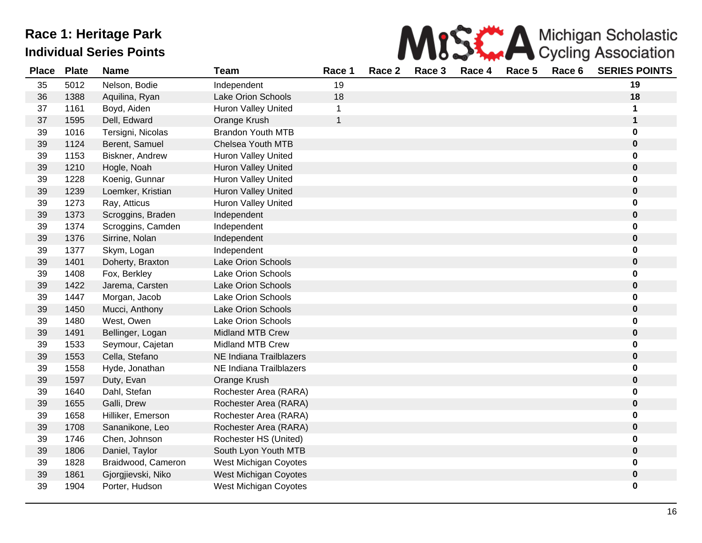

| <b>Place</b> | <b>Plate</b> | <b>Name</b>        | <b>Team</b>                | Race 1         | Race 2 | Race 3 | Race 4 | Race 5 | Race 6 | <b>SERIES POINTS</b> |
|--------------|--------------|--------------------|----------------------------|----------------|--------|--------|--------|--------|--------|----------------------|
| 35           | 5012         | Nelson, Bodie      | Independent                | 19             |        |        |        |        |        | 19                   |
| 36           | 1388         | Aquilina, Ryan     | Lake Orion Schools         | 18             |        |        |        |        |        | 18                   |
| 37           | 1161         | Boyd, Aiden        | Huron Valley United        |                |        |        |        |        |        | 1                    |
| 37           | 1595         | Dell, Edward       | Orange Krush               | $\overline{1}$ |        |        |        |        |        | $\mathbf 1$          |
| 39           | 1016         | Tersigni, Nicolas  | <b>Brandon Youth MTB</b>   |                |        |        |        |        |        | $\pmb{0}$            |
| 39           | 1124         | Berent, Samuel     | Chelsea Youth MTB          |                |        |        |        |        |        | $\pmb{0}$            |
| 39           | 1153         | Biskner, Andrew    | <b>Huron Valley United</b> |                |        |        |        |        |        | 0                    |
| 39           | 1210         | Hogle, Noah        | Huron Valley United        |                |        |        |        |        |        | $\pmb{0}$            |
| 39           | 1228         | Koenig, Gunnar     | <b>Huron Valley United</b> |                |        |        |        |        |        | 0                    |
| 39           | 1239         | Loemker, Kristian  | <b>Huron Valley United</b> |                |        |        |        |        |        | $\pmb{0}$            |
| 39           | 1273         | Ray, Atticus       | Huron Valley United        |                |        |        |        |        |        | 0                    |
| 39           | 1373         | Scroggins, Braden  | Independent                |                |        |        |        |        |        | $\pmb{0}$            |
| 39           | 1374         | Scroggins, Camden  | Independent                |                |        |        |        |        |        | 0                    |
| 39           | 1376         | Sirrine, Nolan     | Independent                |                |        |        |        |        |        | $\pmb{0}$            |
| 39           | 1377         | Skym, Logan        | Independent                |                |        |        |        |        |        | 0                    |
| 39           | 1401         | Doherty, Braxton   | Lake Orion Schools         |                |        |        |        |        |        | $\pmb{0}$            |
| 39           | 1408         | Fox, Berkley       | Lake Orion Schools         |                |        |        |        |        |        | 0                    |
| 39           | 1422         | Jarema, Carsten    | Lake Orion Schools         |                |        |        |        |        |        | $\pmb{0}$            |
| 39           | 1447         | Morgan, Jacob      | Lake Orion Schools         |                |        |        |        |        |        | 0                    |
| 39           | 1450         | Mucci, Anthony     | Lake Orion Schools         |                |        |        |        |        |        | $\pmb{0}$            |
| 39           | 1480         | West, Owen         | Lake Orion Schools         |                |        |        |        |        |        | 0                    |
| 39           | 1491         | Bellinger, Logan   | <b>Midland MTB Crew</b>    |                |        |        |        |        |        | $\pmb{0}$            |
| 39           | 1533         | Seymour, Cajetan   | <b>Midland MTB Crew</b>    |                |        |        |        |        |        | 0                    |
| 39           | 1553         | Cella, Stefano     | NE Indiana Trailblazers    |                |        |        |        |        |        | $\pmb{0}$            |
| 39           | 1558         | Hyde, Jonathan     | NE Indiana Trailblazers    |                |        |        |        |        |        | 0                    |
| 39           | 1597         | Duty, Evan         | Orange Krush               |                |        |        |        |        |        | 0                    |
| 39           | 1640         | Dahl, Stefan       | Rochester Area (RARA)      |                |        |        |        |        |        | 0                    |
| 39           | 1655         | Galli, Drew        | Rochester Area (RARA)      |                |        |        |        |        |        | $\bf{0}$             |
| 39           | 1658         | Hilliker, Emerson  | Rochester Area (RARA)      |                |        |        |        |        |        | 0                    |
| 39           | 1708         | Sananikone, Leo    | Rochester Area (RARA)      |                |        |        |        |        |        | $\pmb{0}$            |
| 39           | 1746         | Chen, Johnson      | Rochester HS (United)      |                |        |        |        |        |        | 0                    |
| 39           | 1806         | Daniel, Taylor     | South Lyon Youth MTB       |                |        |        |        |        |        | $\bf{0}$             |
| 39           | 1828         | Braidwood, Cameron | West Michigan Coyotes      |                |        |        |        |        |        | 0                    |
| 39           | 1861         | Gjorgjievski, Niko | West Michigan Coyotes      |                |        |        |        |        |        | $\pmb{0}$            |
| 39           | 1904         | Porter, Hudson     | West Michigan Coyotes      |                |        |        |        |        |        | 0                    |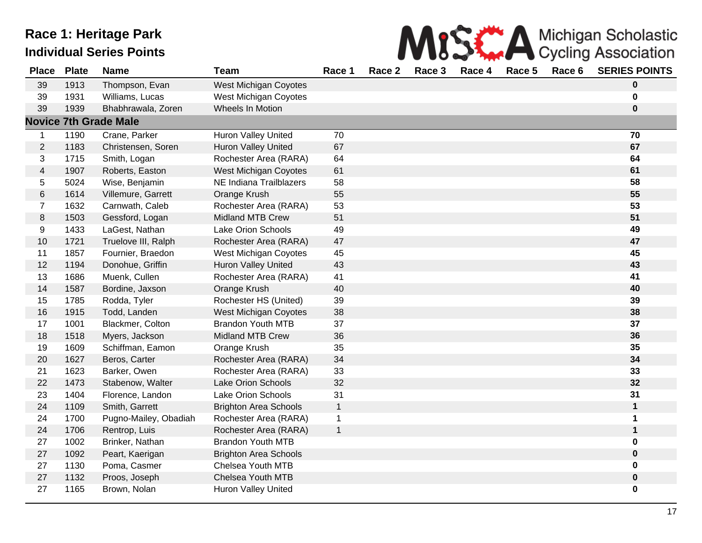| MISS A Michigan Scholastic |
|----------------------------|
|                            |

| <b>Place</b>     | <b>Plate</b> | <b>Name</b>                  | <b>Team</b>                  | Race 1       | Race 2 | Race 3 | Race 4 | Race 5 | Race 6 | <b>SERIES POINTS</b> |
|------------------|--------------|------------------------------|------------------------------|--------------|--------|--------|--------|--------|--------|----------------------|
| 39               | 1913         | Thompson, Evan               | West Michigan Coyotes        |              |        |        |        |        |        | $\mathbf 0$          |
| 39               | 1931         | Williams, Lucas              | West Michigan Coyotes        |              |        |        |        |        |        | $\mathbf 0$          |
| 39               | 1939         | Bhabhrawala, Zoren           | Wheels In Motion             |              |        |        |        |        |        | $\mathbf 0$          |
|                  |              | <b>Novice 7th Grade Male</b> |                              |              |        |        |        |        |        |                      |
| 1                | 1190         | Crane, Parker                | Huron Valley United          | 70           |        |        |        |        |        | 70                   |
| $\overline{2}$   | 1183         | Christensen, Soren           | <b>Huron Valley United</b>   | 67           |        |        |        |        |        | 67                   |
| 3                | 1715         | Smith, Logan                 | Rochester Area (RARA)        | 64           |        |        |        |        |        | 64                   |
| $\overline{4}$   | 1907         | Roberts, Easton              | West Michigan Coyotes        | 61           |        |        |        |        |        | 61                   |
| 5                | 5024         | Wise, Benjamin               | NE Indiana Trailblazers      | 58           |        |        |        |        |        | 58                   |
| 6                | 1614         | Villemure, Garrett           | Orange Krush                 | 55           |        |        |        |        |        | 55                   |
| $\overline{7}$   | 1632         | Carnwath, Caleb              | Rochester Area (RARA)        | 53           |        |        |        |        |        | 53                   |
| $\,8\,$          | 1503         | Gessford, Logan              | <b>Midland MTB Crew</b>      | 51           |        |        |        |        |        | 51                   |
| $\boldsymbol{9}$ | 1433         | LaGest, Nathan               | <b>Lake Orion Schools</b>    | 49           |        |        |        |        |        | 49                   |
| 10               | 1721         | Truelove III, Ralph          | Rochester Area (RARA)        | 47           |        |        |        |        |        | 47                   |
| 11               | 1857         | Fournier, Braedon            | West Michigan Coyotes        | 45           |        |        |        |        |        | 45                   |
| 12               | 1194         | Donohue, Griffin             | <b>Huron Valley United</b>   | 43           |        |        |        |        |        | 43                   |
| 13               | 1686         | Muenk, Cullen                | Rochester Area (RARA)        | 41           |        |        |        |        |        | 41                   |
| 14               | 1587         | Bordine, Jaxson              | Orange Krush                 | 40           |        |        |        |        |        | 40                   |
| 15               | 1785         | Rodda, Tyler                 | Rochester HS (United)        | 39           |        |        |        |        |        | 39                   |
| 16               | 1915         | Todd, Landen                 | <b>West Michigan Coyotes</b> | 38           |        |        |        |        |        | 38                   |
| 17               | 1001         | Blackmer, Colton             | <b>Brandon Youth MTB</b>     | 37           |        |        |        |        |        | 37                   |
| 18               | 1518         | Myers, Jackson               | <b>Midland MTB Crew</b>      | 36           |        |        |        |        |        | 36                   |
| 19               | 1609         | Schiffman, Eamon             | Orange Krush                 | 35           |        |        |        |        |        | 35                   |
| 20               | 1627         | Beros, Carter                | Rochester Area (RARA)        | 34           |        |        |        |        |        | 34                   |
| 21               | 1623         | Barker, Owen                 | Rochester Area (RARA)        | 33           |        |        |        |        |        | 33                   |
| 22               | 1473         | Stabenow, Walter             | <b>Lake Orion Schools</b>    | 32           |        |        |        |        |        | 32                   |
| 23               | 1404         | Florence, Landon             | <b>Lake Orion Schools</b>    | 31           |        |        |        |        |        | 31                   |
| 24               | 1109         | Smith, Garrett               | <b>Brighton Area Schools</b> | $\mathbf 1$  |        |        |        |        |        | $\mathbf 1$          |
| 24               | 1700         | Pugno-Mailey, Obadiah        | Rochester Area (RARA)        | $\mathbf 1$  |        |        |        |        |        | $\mathbf 1$          |
| 24               | 1706         | Rentrop, Luis                | Rochester Area (RARA)        | $\mathbf{1}$ |        |        |        |        |        | $\mathbf 1$          |
| 27               | 1002         | Brinker, Nathan              | <b>Brandon Youth MTB</b>     |              |        |        |        |        |        | 0                    |
| 27               | 1092         | Peart, Kaerigan              | <b>Brighton Area Schools</b> |              |        |        |        |        |        | $\pmb{0}$            |
| 27               | 1130         | Poma, Casmer                 | Chelsea Youth MTB            |              |        |        |        |        |        | $\mathbf 0$          |
| 27               | 1132         | Proos, Joseph                | Chelsea Youth MTB            |              |        |        |        |        |        | $\pmb{0}$            |
| 27               | 1165         | Brown, Nolan                 | <b>Huron Valley United</b>   |              |        |        |        |        |        | $\mathbf 0$          |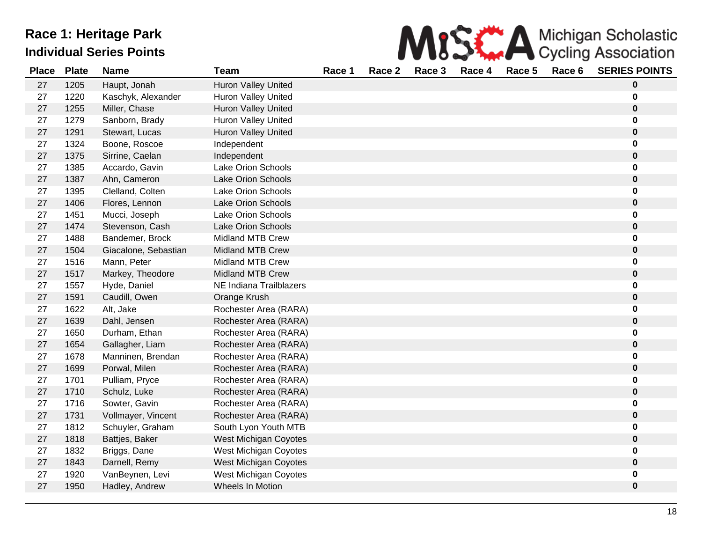| MISS A Michigan Scholastic |
|----------------------------|
|                            |

| <b>Place</b> | <b>Plate</b> | <b>Name</b>          | <b>Team</b>                | Race 1 | Race 2 | Race 3 | Race 4 | Race 5 | Race 6 | <b>SERIES POINTS</b> |
|--------------|--------------|----------------------|----------------------------|--------|--------|--------|--------|--------|--------|----------------------|
| 27           | 1205         | Haupt, Jonah         | <b>Huron Valley United</b> |        |        |        |        |        |        | $\mathbf 0$          |
| 27           | 1220         | Kaschyk, Alexander   | <b>Huron Valley United</b> |        |        |        |        |        |        | 0                    |
| 27           | 1255         | Miller, Chase        | <b>Huron Valley United</b> |        |        |        |        |        |        | 0                    |
| 27           | 1279         | Sanborn, Brady       | <b>Huron Valley United</b> |        |        |        |        |        |        | 0                    |
| 27           | 1291         | Stewart, Lucas       | <b>Huron Valley United</b> |        |        |        |        |        |        | $\mathbf 0$          |
| 27           | 1324         | Boone, Roscoe        | Independent                |        |        |        |        |        |        | 0                    |
| 27           | 1375         | Sirrine, Caelan      | Independent                |        |        |        |        |        |        | 0                    |
| 27           | 1385         | Accardo, Gavin       | Lake Orion Schools         |        |        |        |        |        |        | 0                    |
| 27           | 1387         | Ahn, Cameron         | <b>Lake Orion Schools</b>  |        |        |        |        |        |        | 0                    |
| 27           | 1395         | Clelland, Colten     | <b>Lake Orion Schools</b>  |        |        |        |        |        |        | 0                    |
| 27           | 1406         | Flores, Lennon       | <b>Lake Orion Schools</b>  |        |        |        |        |        |        | $\mathbf 0$          |
| 27           | 1451         | Mucci, Joseph        | Lake Orion Schools         |        |        |        |        |        |        | 0                    |
| 27           | 1474         | Stevenson, Cash      | <b>Lake Orion Schools</b>  |        |        |        |        |        |        | 0                    |
| 27           | 1488         | Bandemer, Brock      | <b>Midland MTB Crew</b>    |        |        |        |        |        |        | 0                    |
| 27           | 1504         | Giacalone, Sebastian | <b>Midland MTB Crew</b>    |        |        |        |        |        |        | 0                    |
| 27           | 1516         | Mann, Peter          | <b>Midland MTB Crew</b>    |        |        |        |        |        |        | 0                    |
| 27           | 1517         | Markey, Theodore     | <b>Midland MTB Crew</b>    |        |        |        |        |        |        | $\mathbf 0$          |
| 27           | 1557         | Hyde, Daniel         | NE Indiana Trailblazers    |        |        |        |        |        |        | 0                    |
| 27           | 1591         | Caudill, Owen        | Orange Krush               |        |        |        |        |        |        | 0                    |
| 27           | 1622         | Alt, Jake            | Rochester Area (RARA)      |        |        |        |        |        |        | 0                    |
| 27           | 1639         | Dahl, Jensen         | Rochester Area (RARA)      |        |        |        |        |        |        | $\mathbf 0$          |
| 27           | 1650         | Durham, Ethan        | Rochester Area (RARA)      |        |        |        |        |        |        | 0                    |
| 27           | 1654         | Gallagher, Liam      | Rochester Area (RARA)      |        |        |        |        |        |        | 0                    |
| 27           | 1678         | Manninen, Brendan    | Rochester Area (RARA)      |        |        |        |        |        |        | 0                    |
| 27           | 1699         | Porwal, Milen        | Rochester Area (RARA)      |        |        |        |        |        |        | $\mathbf 0$          |
| 27           | 1701         | Pulliam, Pryce       | Rochester Area (RARA)      |        |        |        |        |        |        | 0                    |
| 27           | 1710         | Schulz, Luke         | Rochester Area (RARA)      |        |        |        |        |        |        | $\mathbf 0$          |
| 27           | 1716         | Sowter, Gavin        | Rochester Area (RARA)      |        |        |        |        |        |        | 0                    |
| 27           | 1731         | Vollmayer, Vincent   | Rochester Area (RARA)      |        |        |        |        |        |        | $\mathbf 0$          |
| 27           | 1812         | Schuyler, Graham     | South Lyon Youth MTB       |        |        |        |        |        |        | 0                    |
| 27           | 1818         | Battjes, Baker       | West Michigan Coyotes      |        |        |        |        |        |        | $\mathbf 0$          |
| 27           | 1832         | Briggs, Dane         | West Michigan Coyotes      |        |        |        |        |        |        | 0                    |
| 27           | 1843         | Darnell, Remy        | West Michigan Coyotes      |        |        |        |        |        |        | 0                    |
| 27           | 1920         | VanBeynen, Levi      | West Michigan Coyotes      |        |        |        |        |        |        | 0                    |
| 27           | 1950         | Hadley, Andrew       | Wheels In Motion           |        |        |        |        |        |        | 0                    |
|              |              |                      |                            |        |        |        |        |        |        |                      |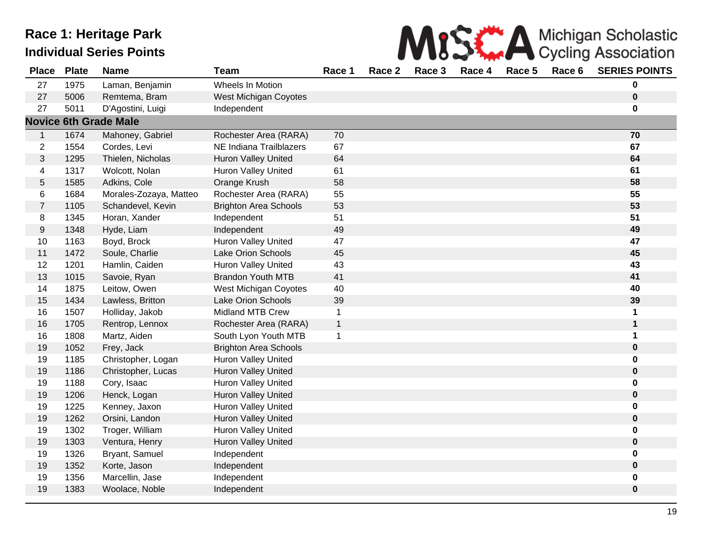|  | MISS A Michigan Scholastic |
|--|----------------------------|
|  |                            |

| <b>Place</b>     | <b>Plate</b> | <b>Name</b>                  | <b>Team</b>                  | Race 1       | Race 2 | Race 3 | Race 4 | Race 5 | Race 6 | <b>SERIES POINTS</b> |
|------------------|--------------|------------------------------|------------------------------|--------------|--------|--------|--------|--------|--------|----------------------|
| 27               | 1975         | Laman, Benjamin              | Wheels In Motion             |              |        |        |        |        |        | 0                    |
| 27               | 5006         | Remtema, Bram                | West Michigan Coyotes        |              |        |        |        |        |        | $\mathbf 0$          |
| 27               | 5011         | D'Agostini, Luigi            | Independent                  |              |        |        |        |        |        | 0                    |
|                  |              | <b>Novice 6th Grade Male</b> |                              |              |        |        |        |        |        |                      |
| $\mathbf{1}$     | 1674         | Mahoney, Gabriel             | Rochester Area (RARA)        | 70           |        |        |        |        |        | 70                   |
| $\overline{2}$   | 1554         | Cordes, Levi                 | NE Indiana Trailblazers      | 67           |        |        |        |        |        | 67                   |
| 3                | 1295         | Thielen, Nicholas            | Huron Valley United          | 64           |        |        |        |        |        | 64                   |
| 4                | 1317         | Wolcott, Nolan               | Huron Valley United          | 61           |        |        |        |        |        | 61                   |
| 5                | 1585         | Adkins, Cole                 | Orange Krush                 | 58           |        |        |        |        |        | 58                   |
| 6                | 1684         | Morales-Zozaya, Matteo       | Rochester Area (RARA)        | 55           |        |        |        |        |        | 55                   |
| $\overline{7}$   | 1105         | Schandevel, Kevin            | <b>Brighton Area Schools</b> | 53           |        |        |        |        |        | 53                   |
| 8                | 1345         | Horan, Xander                | Independent                  | 51           |        |        |        |        |        | 51                   |
| $\boldsymbol{9}$ | 1348         | Hyde, Liam                   | Independent                  | 49           |        |        |        |        |        | 49                   |
| 10               | 1163         | Boyd, Brock                  | Huron Valley United          | 47           |        |        |        |        |        | 47                   |
| 11               | 1472         | Soule, Charlie               | Lake Orion Schools           | 45           |        |        |        |        |        | 45                   |
| 12               | 1201         | Hamlin, Caiden               | <b>Huron Valley United</b>   | 43           |        |        |        |        |        | 43                   |
| 13               | 1015         | Savoie, Ryan                 | <b>Brandon Youth MTB</b>     | 41           |        |        |        |        |        | 41                   |
| 14               | 1875         | Leitow, Owen                 | West Michigan Coyotes        | 40           |        |        |        |        |        | 40                   |
| 15               | 1434         | Lawless, Britton             | Lake Orion Schools           | 39           |        |        |        |        |        | 39                   |
| 16               | 1507         | Holliday, Jakob              | Midland MTB Crew             | 1            |        |        |        |        |        | $\mathbf 1$          |
| 16               | 1705         | Rentrop, Lennox              | Rochester Area (RARA)        | $\mathbf{1}$ |        |        |        |        |        | $\mathbf{1}$         |
| 16               | 1808         | Martz, Aiden                 | South Lyon Youth MTB         | 1            |        |        |        |        |        | $\mathbf 1$          |
| 19               | 1052         | Frey, Jack                   | <b>Brighton Area Schools</b> |              |        |        |        |        |        | $\mathbf 0$          |
| 19               | 1185         | Christopher, Logan           | <b>Huron Valley United</b>   |              |        |        |        |        |        | 0                    |
| 19               | 1186         | Christopher, Lucas           | Huron Valley United          |              |        |        |        |        |        | $\pmb{0}$            |
| 19               | 1188         | Cory, Isaac                  | Huron Valley United          |              |        |        |        |        |        | $\mathbf 0$          |
| 19               | 1206         | Henck, Logan                 | Huron Valley United          |              |        |        |        |        |        | $\mathbf 0$          |
| 19               | 1225         | Kenney, Jaxon                | Huron Valley United          |              |        |        |        |        |        | $\mathbf 0$          |
| 19               | 1262         | Orsini, Landon               | Huron Valley United          |              |        |        |        |        |        | $\mathbf 0$          |
| 19               | 1302         | Troger, William              | Huron Valley United          |              |        |        |        |        |        | 0                    |
| 19               | 1303         | Ventura, Henry               | <b>Huron Valley United</b>   |              |        |        |        |        |        | $\mathbf 0$          |
| 19               | 1326         | Bryant, Samuel               | Independent                  |              |        |        |        |        |        | 0                    |
| 19               | 1352         | Korte, Jason                 | Independent                  |              |        |        |        |        |        | $\pmb{0}$            |
| 19               | 1356         | Marcellin, Jase              | Independent                  |              |        |        |        |        |        | 0                    |
| 19               | 1383         | Woolace, Noble               | Independent                  |              |        |        |        |        |        | $\mathbf 0$          |
|                  |              |                              |                              |              |        |        |        |        |        |                      |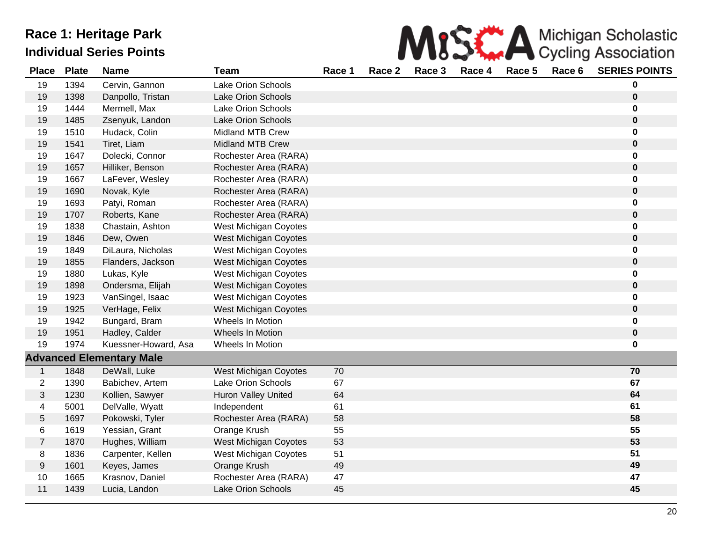|  | MISS A Michigan Scholastic |
|--|----------------------------|
|  |                            |

| <b>Place</b>     | <b>Plate</b> | <b>Name</b>                     | <b>Team</b>                  | Race 1 | Race 2 | Race 3 | Race 4 | Race 5 | Race 6 | <b>SERIES POINTS</b> |
|------------------|--------------|---------------------------------|------------------------------|--------|--------|--------|--------|--------|--------|----------------------|
| 19               | 1394         | Cervin, Gannon                  | <b>Lake Orion Schools</b>    |        |        |        |        |        |        | 0                    |
| 19               | 1398         | Danpollo, Tristan               | Lake Orion Schools           |        |        |        |        |        |        | 0                    |
| 19               | 1444         | Mermell, Max                    | Lake Orion Schools           |        |        |        |        |        |        | 0                    |
| 19               | 1485         | Zsenyuk, Landon                 | <b>Lake Orion Schools</b>    |        |        |        |        |        |        | 0                    |
| 19               | 1510         | Hudack, Colin                   | <b>Midland MTB Crew</b>      |        |        |        |        |        |        | 0                    |
| 19               | 1541         | Tiret, Liam                     | <b>Midland MTB Crew</b>      |        |        |        |        |        |        | $\pmb{0}$            |
| 19               | 1647         | Dolecki, Connor                 | Rochester Area (RARA)        |        |        |        |        |        |        | 0                    |
| 19               | 1657         | Hilliker, Benson                | Rochester Area (RARA)        |        |        |        |        |        |        | $\pmb{0}$            |
| 19               | 1667         | LaFever, Wesley                 | Rochester Area (RARA)        |        |        |        |        |        |        | 0                    |
| 19               | 1690         | Novak, Kyle                     | Rochester Area (RARA)        |        |        |        |        |        |        | $\mathbf 0$          |
| 19               | 1693         | Patyi, Roman                    | Rochester Area (RARA)        |        |        |        |        |        |        | 0                    |
| 19               | 1707         | Roberts, Kane                   | Rochester Area (RARA)        |        |        |        |        |        |        | $\mathbf 0$          |
| 19               | 1838         | Chastain, Ashton                | West Michigan Coyotes        |        |        |        |        |        |        | 0                    |
| 19               | 1846         | Dew, Owen                       | West Michigan Coyotes        |        |        |        |        |        |        | 0                    |
| 19               | 1849         | DiLaura, Nicholas               | <b>West Michigan Coyotes</b> |        |        |        |        |        |        | 0                    |
| 19               | 1855         | Flanders, Jackson               | West Michigan Coyotes        |        |        |        |        |        |        | $\mathbf 0$          |
| 19               | 1880         | Lukas, Kyle                     | West Michigan Coyotes        |        |        |        |        |        |        | 0                    |
| 19               | 1898         | Ondersma, Elijah                | West Michigan Coyotes        |        |        |        |        |        |        | $\mathbf 0$          |
| 19               | 1923         | VanSingel, Isaac                | West Michigan Coyotes        |        |        |        |        |        |        | 0                    |
| 19               | 1925         | VerHage, Felix                  | West Michigan Coyotes        |        |        |        |        |        |        | 0                    |
| 19               | 1942         | Bungard, Bram                   | Wheels In Motion             |        |        |        |        |        |        | 0                    |
| 19               | 1951         | Hadley, Calder                  | Wheels In Motion             |        |        |        |        |        |        | 0                    |
| 19               | 1974         | Kuessner-Howard, Asa            | Wheels In Motion             |        |        |        |        |        |        | 0                    |
|                  |              | <b>Advanced Elementary Male</b> |                              |        |        |        |        |        |        |                      |
| $\mathbf{1}$     | 1848         | DeWall, Luke                    | West Michigan Coyotes        | 70     |        |        |        |        |        | 70                   |
| $\overline{2}$   | 1390         | Babichev, Artem                 | Lake Orion Schools           | 67     |        |        |        |        |        | 67                   |
| 3                | 1230         | Kollien, Sawyer                 | <b>Huron Valley United</b>   | 64     |        |        |        |        |        | 64                   |
| 4                | 5001         | DelValle, Wyatt                 | Independent                  | 61     |        |        |        |        |        | 61                   |
| $\sqrt{5}$       | 1697         | Pokowski, Tyler                 | Rochester Area (RARA)        | 58     |        |        |        |        |        | 58                   |
| 6                | 1619         | Yessian, Grant                  | Orange Krush                 | 55     |        |        |        |        |        | 55                   |
| $\overline{7}$   | 1870         | Hughes, William                 | West Michigan Coyotes        | 53     |        |        |        |        |        | 53                   |
| 8                | 1836         | Carpenter, Kellen               | West Michigan Coyotes        | 51     |        |        |        |        |        | 51                   |
| $\boldsymbol{9}$ | 1601         | Keyes, James                    | Orange Krush                 | 49     |        |        |        |        |        | 49                   |
| 10               | 1665         | Krasnov, Daniel                 | Rochester Area (RARA)        | 47     |        |        |        |        |        | 47                   |
| 11               | 1439         | Lucia, Landon                   | <b>Lake Orion Schools</b>    | 45     |        |        |        |        |        | 45                   |
|                  |              |                                 |                              |        |        |        |        |        |        |                      |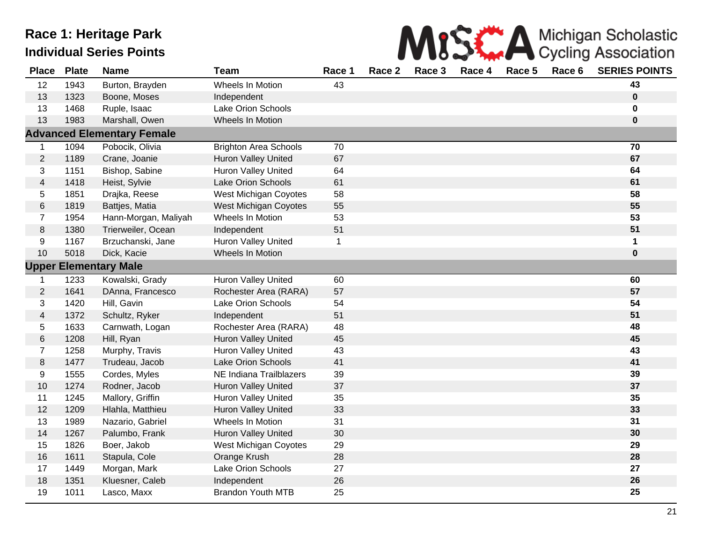

| <b>Place</b>                           | <b>Plate</b> | <b>Name</b>                       | <b>Team</b>                  | Race 1      | Race 2 | Race 3 | Race 4 | Race 5 | Race 6 | <b>SERIES POINTS</b> |
|----------------------------------------|--------------|-----------------------------------|------------------------------|-------------|--------|--------|--------|--------|--------|----------------------|
| 12                                     | 1943         | Burton, Brayden                   | Wheels In Motion             | 43          |        |        |        |        |        | 43                   |
| 13                                     | 1323         | Boone, Moses                      | Independent                  |             |        |        |        |        |        | 0                    |
| 13                                     | 1468         | Ruple, Isaac                      | Lake Orion Schools           |             |        |        |        |        |        | 0                    |
| 13                                     | 1983         | Marshall, Owen                    | Wheels In Motion             |             |        |        |        |        |        | 0                    |
|                                        |              | <b>Advanced Elementary Female</b> |                              |             |        |        |        |        |        |                      |
| $\mathbf{1}$                           | 1094         | Pobocik, Olivia                   | <b>Brighton Area Schools</b> | 70          |        |        |        |        |        | 70                   |
| $\overline{2}$                         | 1189         | Crane, Joanie                     | <b>Huron Valley United</b>   | 67          |        |        |        |        |        | 67                   |
| 3                                      | 1151         | Bishop, Sabine                    | Huron Valley United          | 64          |        |        |        |        |        | 64                   |
| $\overline{\mathbf{4}}$                | 1418         | Heist, Sylvie                     | Lake Orion Schools           | 61          |        |        |        |        |        | 61                   |
| 5                                      | 1851         | Drajka, Reese                     | West Michigan Coyotes        | 58          |        |        |        |        |        | 58                   |
| $\,6$                                  | 1819         | Battjes, Matia                    | West Michigan Coyotes        | 55          |        |        |        |        |        | 55                   |
| $\overline{7}$                         | 1954         | Hann-Morgan, Maliyah              | Wheels In Motion             | 53          |        |        |        |        |        | 53                   |
| 8                                      | 1380         | Trierweiler, Ocean                | Independent                  | 51          |        |        |        |        |        | 51                   |
| 9                                      | 1167         | Brzuchanski, Jane                 | <b>Huron Valley United</b>   | $\mathbf 1$ |        |        |        |        |        | 1                    |
| 10                                     | 5018         | Dick, Kacie                       | <b>Wheels In Motion</b>      |             |        |        |        |        |        | $\mathbf 0$          |
| <b>Elementary Male</b><br><b>Upper</b> |              |                                   |                              |             |        |        |        |        |        |                      |
| 1                                      | 1233         | Kowalski, Grady                   | Huron Valley United          | 60          |        |        |        |        |        | 60                   |
| $\overline{2}$                         | 1641         | DAnna, Francesco                  | Rochester Area (RARA)        | 57          |        |        |        |        |        | 57                   |
| 3                                      | 1420         | Hill, Gavin                       | Lake Orion Schools           | 54          |        |        |        |        |        | 54                   |
| $\overline{\mathcal{A}}$               | 1372         | Schultz, Ryker                    | Independent                  | 51          |        |        |        |        |        | 51                   |
| 5                                      | 1633         | Carnwath, Logan                   | Rochester Area (RARA)        | 48          |        |        |        |        |        | 48                   |
| 6                                      | 1208         | Hill, Ryan                        | <b>Huron Valley United</b>   | 45          |        |        |        |        |        | 45                   |
| $\overline{7}$                         | 1258         | Murphy, Travis                    | <b>Huron Valley United</b>   | 43          |        |        |        |        |        | 43                   |
| 8                                      | 1477         | Trudeau, Jacob                    | Lake Orion Schools           | 41          |        |        |        |        |        | 41                   |
| 9                                      | 1555         | Cordes, Myles                     | NE Indiana Trailblazers      | 39          |        |        |        |        |        | 39                   |
| 10                                     | 1274         | Rodner, Jacob                     | Huron Valley United          | 37          |        |        |        |        |        | 37                   |
| 11                                     | 1245         | Mallory, Griffin                  | Huron Valley United          | 35          |        |        |        |        |        | 35                   |
| 12                                     | 1209         | Hlahla, Matthieu                  | Huron Valley United          | 33          |        |        |        |        |        | 33                   |
| 13                                     | 1989         | Nazario, Gabriel                  | Wheels In Motion             | 31          |        |        |        |        |        | 31                   |
| 14                                     | 1267         | Palumbo, Frank                    | Huron Valley United          | 30          |        |        |        |        |        | 30                   |
| 15                                     | 1826         | Boer, Jakob                       | West Michigan Coyotes        | 29          |        |        |        |        |        | 29                   |
| 16                                     | 1611         | Stapula, Cole                     | Orange Krush                 | 28          |        |        |        |        |        | 28                   |
| 17                                     | 1449         | Morgan, Mark                      | Lake Orion Schools           | 27          |        |        |        |        |        | 27                   |
| 18                                     | 1351         | Kluesner, Caleb                   | Independent                  | 26          |        |        |        |        |        | 26                   |
| 19                                     | 1011         | Lasco, Maxx                       | <b>Brandon Youth MTB</b>     | 25          |        |        |        |        |        | 25                   |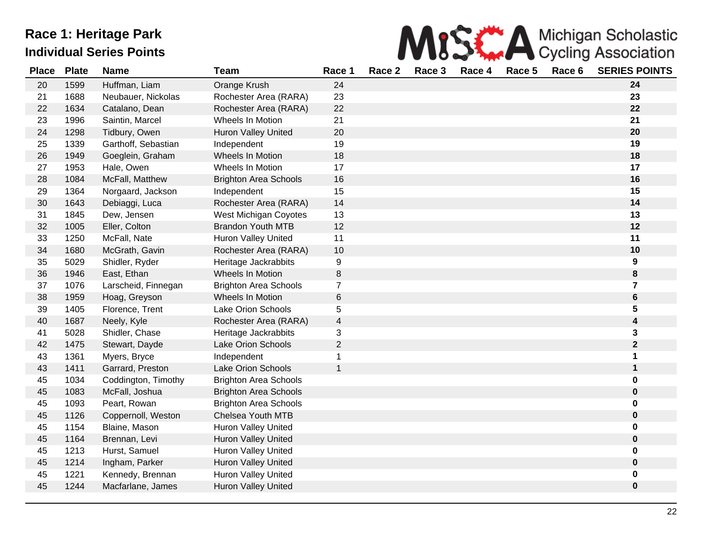

| <b>Place</b> | <b>Plate</b> | <b>Name</b>         | <b>Team</b>                  | Race 1                  | Race 2 | Race 3 | Race 4 | Race 5 | Race 6 | <b>SERIES POINTS</b> |
|--------------|--------------|---------------------|------------------------------|-------------------------|--------|--------|--------|--------|--------|----------------------|
| 20           | 1599         | Huffman, Liam       | Orange Krush                 | 24                      |        |        |        |        |        | 24                   |
| 21           | 1688         | Neubauer, Nickolas  | Rochester Area (RARA)        | 23                      |        |        |        |        |        | 23                   |
| 22           | 1634         | Catalano, Dean      | Rochester Area (RARA)        | 22                      |        |        |        |        |        | 22                   |
| 23           | 1996         | Saintin, Marcel     | Wheels In Motion             | 21                      |        |        |        |        |        | 21                   |
| 24           | 1298         | Tidbury, Owen       | <b>Huron Valley United</b>   | 20                      |        |        |        |        |        | 20                   |
| 25           | 1339         | Garthoff, Sebastian | Independent                  | 19                      |        |        |        |        |        | 19                   |
| 26           | 1949         | Goeglein, Graham    | Wheels In Motion             | 18                      |        |        |        |        |        | 18                   |
| 27           | 1953         | Hale, Owen          | Wheels In Motion             | 17                      |        |        |        |        |        | 17                   |
| 28           | 1084         | McFall, Matthew     | <b>Brighton Area Schools</b> | 16                      |        |        |        |        |        | 16                   |
| 29           | 1364         | Norgaard, Jackson   | Independent                  | 15                      |        |        |        |        |        | 15                   |
| 30           | 1643         | Debiaggi, Luca      | Rochester Area (RARA)        | 14                      |        |        |        |        |        | 14                   |
| 31           | 1845         | Dew, Jensen         | West Michigan Coyotes        | 13                      |        |        |        |        |        | 13                   |
| 32           | 1005         | Eller, Colton       | <b>Brandon Youth MTB</b>     | 12                      |        |        |        |        |        | 12                   |
| 33           | 1250         | McFall, Nate        | Huron Valley United          | 11                      |        |        |        |        |        | 11                   |
| 34           | 1680         | McGrath, Gavin      | Rochester Area (RARA)        | 10                      |        |        |        |        |        | 10                   |
| 35           | 5029         | Shidler, Ryder      | Heritage Jackrabbits         | 9                       |        |        |        |        |        | 9                    |
| 36           | 1946         | East, Ethan         | Wheels In Motion             | $\,8\,$                 |        |        |        |        |        | 8                    |
| 37           | 1076         | Larscheid, Finnegan | <b>Brighton Area Schools</b> | $\overline{7}$          |        |        |        |        |        | 7                    |
| 38           | 1959         | Hoag, Greyson       | Wheels In Motion             | $\,6$                   |        |        |        |        |        | 6                    |
| 39           | 1405         | Florence, Trent     | <b>Lake Orion Schools</b>    | 5                       |        |        |        |        |        | 5                    |
| 40           | 1687         | Neely, Kyle         | Rochester Area (RARA)        | $\overline{\mathbf{4}}$ |        |        |        |        |        | 4                    |
| 41           | 5028         | Shidler, Chase      | Heritage Jackrabbits         | 3                       |        |        |        |        |        | 3                    |
| 42           | 1475         | Stewart, Dayde      | Lake Orion Schools           | $\overline{2}$          |        |        |        |        |        | $\mathbf 2$          |
| 43           | 1361         | Myers, Bryce        | Independent                  | 1                       |        |        |        |        |        | 1                    |
| 43           | 1411         | Garrard, Preston    | <b>Lake Orion Schools</b>    | $\mathbf{1}$            |        |        |        |        |        | $\mathbf 1$          |
| 45           | 1034         | Coddington, Timothy | <b>Brighton Area Schools</b> |                         |        |        |        |        |        | 0                    |
| 45           | 1083         | McFall, Joshua      | <b>Brighton Area Schools</b> |                         |        |        |        |        |        | 0                    |
| 45           | 1093         | Peart, Rowan        | <b>Brighton Area Schools</b> |                         |        |        |        |        |        | 0                    |
| 45           | 1126         | Coppernoll, Weston  | Chelsea Youth MTB            |                         |        |        |        |        |        | $\mathbf 0$          |
| 45           | 1154         | Blaine, Mason       | <b>Huron Valley United</b>   |                         |        |        |        |        |        | 0                    |
| 45           | 1164         | Brennan, Levi       | Huron Valley United          |                         |        |        |        |        |        | $\mathbf 0$          |
| 45           | 1213         | Hurst, Samuel       | Huron Valley United          |                         |        |        |        |        |        | 0                    |
| 45           | 1214         | Ingham, Parker      | <b>Huron Valley United</b>   |                         |        |        |        |        |        | 0                    |
| 45           | 1221         | Kennedy, Brennan    | Huron Valley United          |                         |        |        |        |        |        | 0                    |
| 45           | 1244         | Macfarlane, James   | <b>Huron Valley United</b>   |                         |        |        |        |        |        | 0                    |
|              |              |                     |                              |                         |        |        |        |        |        |                      |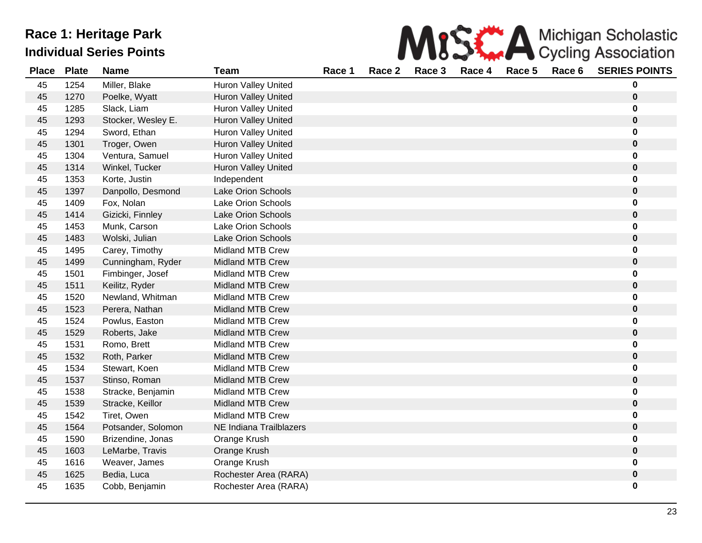| MISK A Michigan Scholastic |
|----------------------------|
|                            |

| <b>Place</b> | <b>Plate</b> | <b>Name</b>        | <b>Team</b>                | Race 1 | Race 2 | Race 3 | Race 4 | Race 5 | Race 6 | <b>SERIES POINTS</b> |
|--------------|--------------|--------------------|----------------------------|--------|--------|--------|--------|--------|--------|----------------------|
| 45           | 1254         | Miller, Blake      | <b>Huron Valley United</b> |        |        |        |        |        |        | 0                    |
| 45           | 1270         | Poelke, Wyatt      | <b>Huron Valley United</b> |        |        |        |        |        |        | $\mathbf 0$          |
| 45           | 1285         | Slack, Liam        | <b>Huron Valley United</b> |        |        |        |        |        |        | 0                    |
| 45           | 1293         | Stocker, Wesley E. | <b>Huron Valley United</b> |        |        |        |        |        |        | 0                    |
| 45           | 1294         | Sword, Ethan       | <b>Huron Valley United</b> |        |        |        |        |        |        | 0                    |
| 45           | 1301         | Troger, Owen       | <b>Huron Valley United</b> |        |        |        |        |        |        | 0                    |
| 45           | 1304         | Ventura, Samuel    | Huron Valley United        |        |        |        |        |        |        | 0                    |
| 45           | 1314         | Winkel, Tucker     | <b>Huron Valley United</b> |        |        |        |        |        |        | 0                    |
| 45           | 1353         | Korte, Justin      | Independent                |        |        |        |        |        |        | 0                    |
| 45           | 1397         | Danpollo, Desmond  | <b>Lake Orion Schools</b>  |        |        |        |        |        |        | $\mathbf 0$          |
| 45           | 1409         | Fox, Nolan         | <b>Lake Orion Schools</b>  |        |        |        |        |        |        | 0                    |
| 45           | 1414         | Gizicki, Finnley   | <b>Lake Orion Schools</b>  |        |        |        |        |        |        | 0                    |
| 45           | 1453         | Munk, Carson       | <b>Lake Orion Schools</b>  |        |        |        |        |        |        | 0                    |
| 45           | 1483         | Wolski, Julian     | <b>Lake Orion Schools</b>  |        |        |        |        |        |        | $\mathbf 0$          |
| 45           | 1495         | Carey, Timothy     | <b>Midland MTB Crew</b>    |        |        |        |        |        |        | 0                    |
| 45           | 1499         | Cunningham, Ryder  | <b>Midland MTB Crew</b>    |        |        |        |        |        |        | $\mathbf 0$          |
| 45           | 1501         | Fimbinger, Josef   | <b>Midland MTB Crew</b>    |        |        |        |        |        |        | 0                    |
| 45           | 1511         | Keilitz, Ryder     | <b>Midland MTB Crew</b>    |        |        |        |        |        |        | 0                    |
| 45           | 1520         | Newland, Whitman   | <b>Midland MTB Crew</b>    |        |        |        |        |        |        | 0                    |
| 45           | 1523         | Perera, Nathan     | <b>Midland MTB Crew</b>    |        |        |        |        |        |        | $\mathbf 0$          |
| 45           | 1524         | Powlus, Easton     | <b>Midland MTB Crew</b>    |        |        |        |        |        |        | 0                    |
| 45           | 1529         | Roberts, Jake      | <b>Midland MTB Crew</b>    |        |        |        |        |        |        | $\mathbf 0$          |
| 45           | 1531         | Romo, Brett        | <b>Midland MTB Crew</b>    |        |        |        |        |        |        | 0                    |
| 45           | 1532         | Roth, Parker       | <b>Midland MTB Crew</b>    |        |        |        |        |        |        | $\mathbf 0$          |
| 45           | 1534         | Stewart, Koen      | <b>Midland MTB Crew</b>    |        |        |        |        |        |        | 0                    |
| 45           | 1537         | Stinso, Roman      | <b>Midland MTB Crew</b>    |        |        |        |        |        |        | $\mathbf 0$          |
| 45           | 1538         | Stracke, Benjamin  | <b>Midland MTB Crew</b>    |        |        |        |        |        |        | 0                    |
| 45           | 1539         | Stracke, Keillor   | <b>Midland MTB Crew</b>    |        |        |        |        |        |        | $\mathbf 0$          |
| 45           | 1542         | Tiret, Owen        | <b>Midland MTB Crew</b>    |        |        |        |        |        |        | 0                    |
| 45           | 1564         | Potsander, Solomon | NE Indiana Trailblazers    |        |        |        |        |        |        | $\mathbf 0$          |
| 45           | 1590         | Brizendine, Jonas  | Orange Krush               |        |        |        |        |        |        | 0                    |
| 45           | 1603         | LeMarbe, Travis    | Orange Krush               |        |        |        |        |        |        | $\mathbf 0$          |
| 45           | 1616         | Weaver, James      | Orange Krush               |        |        |        |        |        |        | 0                    |
| 45           | 1625         | Bedia, Luca        | Rochester Area (RARA)      |        |        |        |        |        |        | 0                    |
| 45           | 1635         | Cobb, Benjamin     | Rochester Area (RARA)      |        |        |        |        |        |        | 0                    |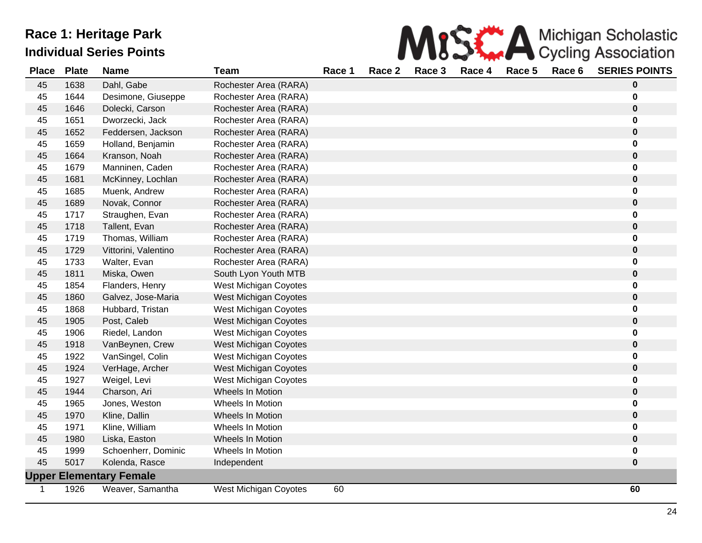| MISS A Michigan Scholastic |
|----------------------------|
|                            |

| <b>Place</b> | <b>Plate</b> | <b>Name</b>                    | <b>Team</b>                  | Race 1 | Race 2 | Race 3 | Race 4 | Race 5 | Race 6 | <b>SERIES POINTS</b> |
|--------------|--------------|--------------------------------|------------------------------|--------|--------|--------|--------|--------|--------|----------------------|
| 45           | 1638         | Dahl, Gabe                     | Rochester Area (RARA)        |        |        |        |        |        |        | 0                    |
| 45           | 1644         | Desimone, Giuseppe             | Rochester Area (RARA)        |        |        |        |        |        |        | $\bf{0}$             |
| 45           | 1646         | Dolecki, Carson                | Rochester Area (RARA)        |        |        |        |        |        |        | 0                    |
| 45           | 1651         | Dworzecki, Jack                | Rochester Area (RARA)        |        |        |        |        |        |        | 0                    |
| 45           | 1652         | Feddersen, Jackson             | Rochester Area (RARA)        |        |        |        |        |        |        | 0                    |
| 45           | 1659         | Holland, Benjamin              | Rochester Area (RARA)        |        |        |        |        |        |        | 0                    |
| 45           | 1664         | Kranson, Noah                  | Rochester Area (RARA)        |        |        |        |        |        |        | 0                    |
| 45           | 1679         | Manninen, Caden                | Rochester Area (RARA)        |        |        |        |        |        |        | 0                    |
| 45           | 1681         | McKinney, Lochlan              | Rochester Area (RARA)        |        |        |        |        |        |        | $\pmb{0}$            |
| 45           | 1685         | Muenk, Andrew                  | Rochester Area (RARA)        |        |        |        |        |        |        | 0                    |
| 45           | 1689         | Novak, Connor                  | Rochester Area (RARA)        |        |        |        |        |        |        | 0                    |
| 45           | 1717         | Straughen, Evan                | Rochester Area (RARA)        |        |        |        |        |        |        | 0                    |
| 45           | 1718         | Tallent, Evan                  | Rochester Area (RARA)        |        |        |        |        |        |        | $\mathbf 0$          |
| 45           | 1719         | Thomas, William                | Rochester Area (RARA)        |        |        |        |        |        |        | 0                    |
| 45           | 1729         | Vittorini, Valentino           | Rochester Area (RARA)        |        |        |        |        |        |        | 0                    |
| 45           | 1733         | Walter, Evan                   | Rochester Area (RARA)        |        |        |        |        |        |        | 0                    |
| 45           | 1811         | Miska, Owen                    | South Lyon Youth MTB         |        |        |        |        |        |        | $\pmb{0}$            |
| 45           | 1854         | Flanders, Henry                | West Michigan Coyotes        |        |        |        |        |        |        | 0                    |
| 45           | 1860         | Galvez, Jose-Maria             | <b>West Michigan Coyotes</b> |        |        |        |        |        |        | $\pmb{0}$            |
| 45           | 1868         | Hubbard, Tristan               | West Michigan Coyotes        |        |        |        |        |        |        | 0                    |
| 45           | 1905         | Post, Caleb                    | West Michigan Coyotes        |        |        |        |        |        |        | 0                    |
| 45           | 1906         | Riedel, Landon                 | West Michigan Coyotes        |        |        |        |        |        |        | 0                    |
| 45           | 1918         | VanBeynen, Crew                | West Michigan Coyotes        |        |        |        |        |        |        | 0                    |
| 45           | 1922         | VanSingel, Colin               | West Michigan Coyotes        |        |        |        |        |        |        | 0                    |
| 45           | 1924         | VerHage, Archer                | West Michigan Coyotes        |        |        |        |        |        |        | 0                    |
| 45           | 1927         | Weigel, Levi                   | West Michigan Coyotes        |        |        |        |        |        |        | 0                    |
| 45           | 1944         | Charson, Ari                   | Wheels In Motion             |        |        |        |        |        |        | $\mathbf 0$          |
| 45           | 1965         | Jones, Weston                  | Wheels In Motion             |        |        |        |        |        |        | 0                    |
| 45           | 1970         | Kline, Dallin                  | Wheels In Motion             |        |        |        |        |        |        | 0                    |
| 45           | 1971         | Kline, William                 | Wheels In Motion             |        |        |        |        |        |        | 0                    |
| 45           | 1980         | Liska, Easton                  | Wheels In Motion             |        |        |        |        |        |        | 0                    |
| 45           | 1999         | Schoenherr, Dominic            | Wheels In Motion             |        |        |        |        |        |        | 0                    |
| 45           | 5017         | Kolenda, Rasce                 | Independent                  |        |        |        |        |        |        | 0                    |
|              |              | <b>Upper Elementary Female</b> |                              |        |        |        |        |        |        |                      |
| 1            | 1926         | Weaver, Samantha               | West Michigan Coyotes        | 60     |        |        |        |        |        | 60                   |
|              |              |                                |                              |        |        |        |        |        |        |                      |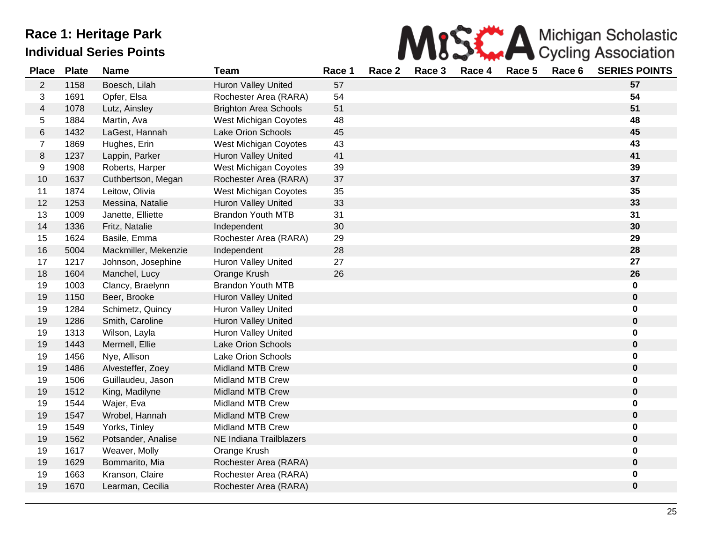

| <b>Place</b>   | <b>Plate</b> | <b>Name</b>          | <b>Team</b>                  | Race 1 | Race 2 | Race 3 | Race 4 | Race 5 | Race 6 | <b>SERIES POINTS</b> |
|----------------|--------------|----------------------|------------------------------|--------|--------|--------|--------|--------|--------|----------------------|
| $\overline{2}$ | 1158         | Boesch, Lilah        | <b>Huron Valley United</b>   | 57     |        |        |        |        |        | 57                   |
| 3              | 1691         | Opfer, Elsa          | Rochester Area (RARA)        | 54     |        |        |        |        |        | 54                   |
| 4              | 1078         | Lutz, Ainsley        | <b>Brighton Area Schools</b> | 51     |        |        |        |        |        | 51                   |
| 5              | 1884         | Martin, Ava          | West Michigan Coyotes        | 48     |        |        |        |        |        | 48                   |
| $\,6$          | 1432         | LaGest, Hannah       | Lake Orion Schools           | 45     |        |        |        |        |        | 45                   |
| $\overline{7}$ | 1869         | Hughes, Erin         | West Michigan Coyotes        | 43     |        |        |        |        |        | 43                   |
| $\,8\,$        | 1237         | Lappin, Parker       | Huron Valley United          | 41     |        |        |        |        |        | 41                   |
| 9              | 1908         | Roberts, Harper      | West Michigan Coyotes        | 39     |        |        |        |        |        | 39                   |
| 10             | 1637         | Cuthbertson, Megan   | Rochester Area (RARA)        | 37     |        |        |        |        |        | 37                   |
| 11             | 1874         | Leitow, Olivia       | West Michigan Coyotes        | 35     |        |        |        |        |        | 35                   |
| 12             | 1253         | Messina, Natalie     | <b>Huron Valley United</b>   | 33     |        |        |        |        |        | 33                   |
| 13             | 1009         | Janette, Elliette    | <b>Brandon Youth MTB</b>     | 31     |        |        |        |        |        | 31                   |
| 14             | 1336         | Fritz, Natalie       | Independent                  | 30     |        |        |        |        |        | 30                   |
| 15             | 1624         | Basile, Emma         | Rochester Area (RARA)        | 29     |        |        |        |        |        | 29                   |
| 16             | 5004         | Mackmiller, Mekenzie | Independent                  | 28     |        |        |        |        |        | 28                   |
| 17             | 1217         | Johnson, Josephine   | <b>Huron Valley United</b>   | 27     |        |        |        |        |        | 27                   |
| 18             | 1604         | Manchel, Lucy        | Orange Krush                 | 26     |        |        |        |        |        | 26                   |
| 19             | 1003         | Clancy, Braelynn     | <b>Brandon Youth MTB</b>     |        |        |        |        |        |        | $\pmb{0}$            |
| 19             | 1150         | Beer, Brooke         | Huron Valley United          |        |        |        |        |        |        | $\pmb{0}$            |
| 19             | 1284         | Schimetz, Quincy     | <b>Huron Valley United</b>   |        |        |        |        |        |        | 0                    |
| 19             | 1286         | Smith, Caroline      | Huron Valley United          |        |        |        |        |        |        | $\pmb{0}$            |
| 19             | 1313         | Wilson, Layla        | <b>Huron Valley United</b>   |        |        |        |        |        |        | 0                    |
| 19             | 1443         | Mermell, Ellie       | Lake Orion Schools           |        |        |        |        |        |        | $\pmb{0}$            |
| 19             | 1456         | Nye, Allison         | Lake Orion Schools           |        |        |        |        |        |        | $\pmb{0}$            |
| 19             | 1486         | Alvesteffer, Zoey    | <b>Midland MTB Crew</b>      |        |        |        |        |        |        | $\pmb{0}$            |
| 19             | 1506         | Guillaudeu, Jason    | <b>Midland MTB Crew</b>      |        |        |        |        |        |        | 0                    |
| 19             | 1512         | King, Madilyne       | <b>Midland MTB Crew</b>      |        |        |        |        |        |        | $\pmb{0}$            |
| 19             | 1544         | Wajer, Eva           | <b>Midland MTB Crew</b>      |        |        |        |        |        |        | 0                    |
| 19             | 1547         | Wrobel, Hannah       | <b>Midland MTB Crew</b>      |        |        |        |        |        |        | $\pmb{0}$            |
| 19             | 1549         | Yorks, Tinley        | <b>Midland MTB Crew</b>      |        |        |        |        |        |        | 0                    |
| 19             | 1562         | Potsander, Analise   | NE Indiana Trailblazers      |        |        |        |        |        |        | $\pmb{0}$            |
| 19             | 1617         | Weaver, Molly        | Orange Krush                 |        |        |        |        |        |        | 0                    |
| 19             | 1629         | Bommarito, Mia       | Rochester Area (RARA)        |        |        |        |        |        |        | $\pmb{0}$            |
| 19             | 1663         | Kranson, Claire      | Rochester Area (RARA)        |        |        |        |        |        |        | $\pmb{0}$            |
| 19             | 1670         | Learman, Cecilia     | Rochester Area (RARA)        |        |        |        |        |        |        | $\pmb{0}$            |
|                |              |                      |                              |        |        |        |        |        |        |                      |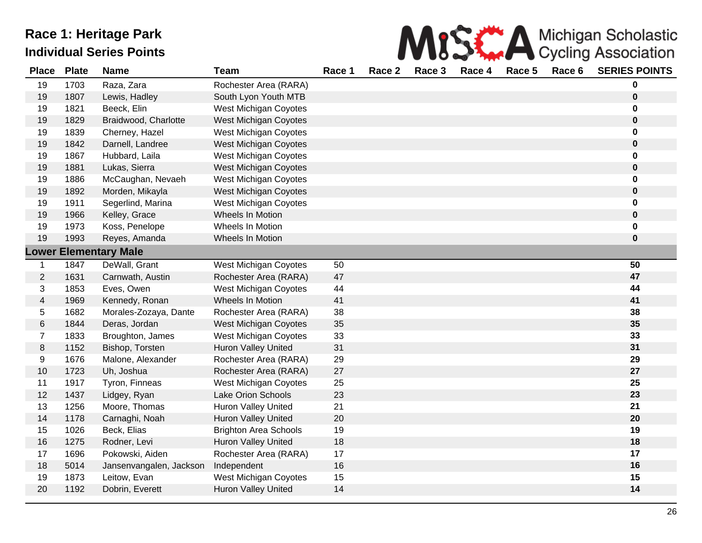|  |  |  | MISS A Michigan Scholastic |
|--|--|--|----------------------------|
|  |  |  |                            |

| <b>Place</b>   | <b>Plate</b> | <b>Name</b>                  | <b>Team</b>                  | Race 1 | Race 2 | Race 3 | Race 4 | Race 5 | Race 6 | <b>SERIES POINTS</b> |
|----------------|--------------|------------------------------|------------------------------|--------|--------|--------|--------|--------|--------|----------------------|
| 19             | 1703         | Raza, Zara                   | Rochester Area (RARA)        |        |        |        |        |        |        | 0                    |
| 19             | 1807         | Lewis, Hadley                | South Lyon Youth MTB         |        |        |        |        |        |        | $\mathbf 0$          |
| 19             | 1821         | Beeck, Elin                  | <b>West Michigan Coyotes</b> |        |        |        |        |        |        | 0                    |
| 19             | 1829         | Braidwood, Charlotte         | West Michigan Coyotes        |        |        |        |        |        |        | $\pmb{0}$            |
| 19             | 1839         | Cherney, Hazel               | West Michigan Coyotes        |        |        |        |        |        |        | 0                    |
| 19             | 1842         | Darnell, Landree             | West Michigan Coyotes        |        |        |        |        |        |        | $\pmb{0}$            |
| 19             | 1867         | Hubbard, Laila               | West Michigan Coyotes        |        |        |        |        |        |        | 0                    |
| 19             | 1881         | Lukas, Sierra                | West Michigan Coyotes        |        |        |        |        |        |        | $\pmb{0}$            |
| 19             | 1886         | McCaughan, Nevaeh            | West Michigan Coyotes        |        |        |        |        |        |        | 0                    |
| 19             | 1892         | Morden, Mikayla              | West Michigan Coyotes        |        |        |        |        |        |        | $\pmb{0}$            |
| 19             | 1911         | Segerlind, Marina            | West Michigan Coyotes        |        |        |        |        |        |        | 0                    |
| 19             | 1966         | Kelley, Grace                | Wheels In Motion             |        |        |        |        |        |        | $\pmb{0}$            |
| 19             | 1973         | Koss, Penelope               | Wheels In Motion             |        |        |        |        |        |        | 0                    |
| 19             | 1993         | Reyes, Amanda                | Wheels In Motion             |        |        |        |        |        |        | $\pmb{0}$            |
|                |              | <b>Lower Elementary Male</b> |                              |        |        |        |        |        |        |                      |
| $\mathbf{1}$   | 1847         | DeWall, Grant                | West Michigan Coyotes        | 50     |        |        |        |        |        | 50                   |
| $\overline{2}$ | 1631         | Carnwath, Austin             | Rochester Area (RARA)        | 47     |        |        |        |        |        | 47                   |
| 3              | 1853         | Eves, Owen                   | West Michigan Coyotes        | 44     |        |        |        |        |        | 44                   |
| $\overline{4}$ | 1969         | Kennedy, Ronan               | Wheels In Motion             | 41     |        |        |        |        |        | 41                   |
| 5              | 1682         | Morales-Zozaya, Dante        | Rochester Area (RARA)        | 38     |        |        |        |        |        | 38                   |
| 6              | 1844         | Deras, Jordan                | West Michigan Coyotes        | 35     |        |        |        |        |        | 35                   |
| $\overline{7}$ | 1833         | Broughton, James             | West Michigan Coyotes        | 33     |        |        |        |        |        | 33                   |
| 8              | 1152         | Bishop, Torsten              | Huron Valley United          | 31     |        |        |        |        |        | 31                   |
| 9              | 1676         | Malone, Alexander            | Rochester Area (RARA)        | 29     |        |        |        |        |        | 29                   |
| 10             | 1723         | Uh, Joshua                   | Rochester Area (RARA)        | 27     |        |        |        |        |        | 27                   |
| 11             | 1917         | Tyron, Finneas               | West Michigan Coyotes        | 25     |        |        |        |        |        | 25                   |
| 12             | 1437         | Lidgey, Ryan                 | Lake Orion Schools           | 23     |        |        |        |        |        | 23                   |
| 13             | 1256         | Moore, Thomas                | Huron Valley United          | 21     |        |        |        |        |        | 21                   |
| 14             | 1178         | Carnaghi, Noah               | <b>Huron Valley United</b>   | 20     |        |        |        |        |        | 20                   |
| 15             | 1026         | Beck, Elias                  | <b>Brighton Area Schools</b> | 19     |        |        |        |        |        | 19                   |
| 16             | 1275         | Rodner, Levi                 | Huron Valley United          | 18     |        |        |        |        |        | 18                   |
| 17             | 1696         | Pokowski, Aiden              | Rochester Area (RARA)        | 17     |        |        |        |        |        | 17                   |
| 18             | 5014         | Jansenvangalen, Jackson      | Independent                  | 16     |        |        |        |        |        | 16                   |
| 19             | 1873         | Leitow, Evan                 | West Michigan Coyotes        | 15     |        |        |        |        |        | 15                   |
| 20             | 1192         | Dobrin, Everett              | <b>Huron Valley United</b>   | 14     |        |        |        |        |        | 14                   |
|                |              |                              |                              |        |        |        |        |        |        |                      |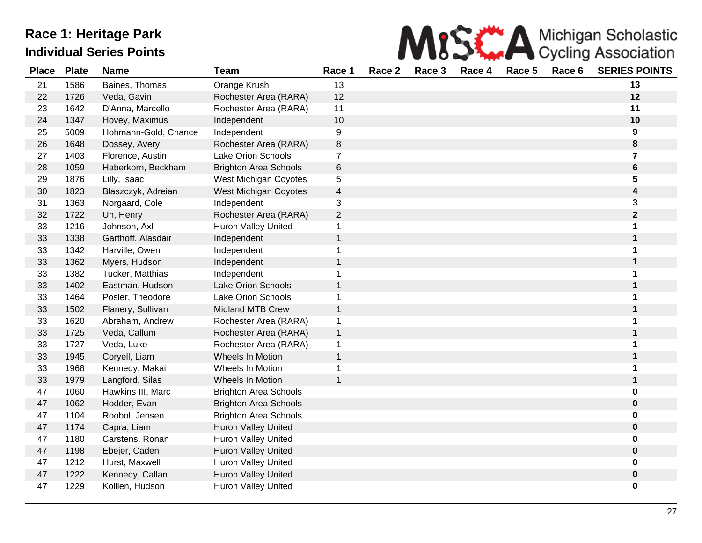

| <b>Place</b> | <b>Plate</b> | <b>Name</b>          | <b>Team</b>                  | Race 1       | Race 2 | Race 3 | Race 4 | Race 5 | Race 6 | <b>SERIES POINTS</b> |
|--------------|--------------|----------------------|------------------------------|--------------|--------|--------|--------|--------|--------|----------------------|
| 21           | 1586         | Baines, Thomas       | Orange Krush                 | 13           |        |        |        |        |        | 13                   |
| 22           | 1726         | Veda, Gavin          | Rochester Area (RARA)        | 12           |        |        |        |        |        | 12                   |
| 23           | 1642         | D'Anna, Marcello     | Rochester Area (RARA)        | 11           |        |        |        |        |        | 11                   |
| 24           | 1347         | Hovey, Maximus       | Independent                  | 10           |        |        |        |        |        | 10                   |
| 25           | 5009         | Hohmann-Gold, Chance | Independent                  | 9            |        |        |        |        |        | 9                    |
| 26           | 1648         | Dossey, Avery        | Rochester Area (RARA)        | 8            |        |        |        |        |        | 8                    |
| 27           | 1403         | Florence, Austin     | Lake Orion Schools           | 7            |        |        |        |        |        | 7                    |
| 28           | 1059         | Haberkorn, Beckham   | <b>Brighton Area Schools</b> | 6            |        |        |        |        |        | 6                    |
| 29           | 1876         | Lilly, Isaac         | West Michigan Coyotes        | 5            |        |        |        |        |        | 5                    |
| 30           | 1823         | Blaszczyk, Adreian   | West Michigan Coyotes        | 4            |        |        |        |        |        | 4                    |
| 31           | 1363         | Norgaard, Cole       | Independent                  | 3            |        |        |        |        |        | 3                    |
| 32           | 1722         | Uh, Henry            | Rochester Area (RARA)        | 2            |        |        |        |        |        | $\mathbf{2}$         |
| 33           | 1216         | Johnson, Axl         | <b>Huron Valley United</b>   | 1            |        |        |        |        |        | 1                    |
| 33           | 1338         | Garthoff, Alasdair   | Independent                  | 1            |        |        |        |        |        | $\mathbf 1$          |
| 33           | 1342         | Harville, Owen       | Independent                  | 1            |        |        |        |        |        | 1                    |
| 33           | 1362         | Myers, Hudson        | Independent                  | 1            |        |        |        |        |        | 1                    |
| 33           | 1382         | Tucker, Matthias     | Independent                  | 1            |        |        |        |        |        |                      |
| 33           | 1402         | Eastman, Hudson      | Lake Orion Schools           | 1            |        |        |        |        |        | 1                    |
| 33           | 1464         | Posler, Theodore     | Lake Orion Schools           | 1            |        |        |        |        |        | 1                    |
| 33           | 1502         | Flanery, Sullivan    | <b>Midland MTB Crew</b>      | $\mathbf{1}$ |        |        |        |        |        | 1                    |
| 33           | 1620         | Abraham, Andrew      | Rochester Area (RARA)        | 1            |        |        |        |        |        | 1                    |
| 33           | 1725         | Veda, Callum         | Rochester Area (RARA)        | 1            |        |        |        |        |        | $\mathbf 1$          |
| 33           | 1727         | Veda, Luke           | Rochester Area (RARA)        | 1            |        |        |        |        |        | 1                    |
| 33           | 1945         | Coryell, Liam        | Wheels In Motion             | 1            |        |        |        |        |        | 1                    |
| 33           | 1968         | Kennedy, Makai       | Wheels In Motion             |              |        |        |        |        |        |                      |
| 33           | 1979         | Langford, Silas      | Wheels In Motion             | $\mathbf{1}$ |        |        |        |        |        | $\mathbf 1$          |
| 47           | 1060         | Hawkins III, Marc    | <b>Brighton Area Schools</b> |              |        |        |        |        |        | 0                    |
| 47           | 1062         | Hodder, Evan         | <b>Brighton Area Schools</b> |              |        |        |        |        |        | $\mathbf 0$          |
| 47           | 1104         | Roobol, Jensen       | <b>Brighton Area Schools</b> |              |        |        |        |        |        | 0                    |
| 47           | 1174         | Capra, Liam          | <b>Huron Valley United</b>   |              |        |        |        |        |        | 0                    |
| 47           | 1180         | Carstens, Ronan      | Huron Valley United          |              |        |        |        |        |        | 0                    |
| 47           | 1198         | Ebejer, Caden        | <b>Huron Valley United</b>   |              |        |        |        |        |        | 0                    |
| 47           | 1212         | Hurst, Maxwell       | <b>Huron Valley United</b>   |              |        |        |        |        |        | 0                    |
| 47           | 1222         | Kennedy, Callan      | Huron Valley United          |              |        |        |        |        |        | 0                    |
| 47           | 1229         | Kollien, Hudson      | <b>Huron Valley United</b>   |              |        |        |        |        |        | 0                    |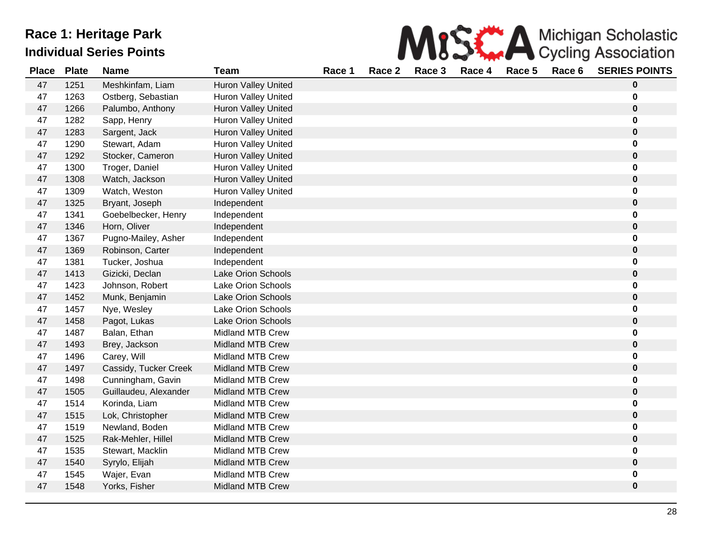| MISS A Michigan Scholastic |
|----------------------------|
|                            |

| <b>Place</b> | <b>Plate</b> | <b>Name</b>           | <b>Team</b>                | Race 1 | Race 2 | Race 3 | Race 4 | Race 5 | Race 6 | <b>SERIES POINTS</b> |
|--------------|--------------|-----------------------|----------------------------|--------|--------|--------|--------|--------|--------|----------------------|
| 47           | 1251         | Meshkinfam, Liam      | Huron Valley United        |        |        |        |        |        |        | $\mathbf 0$          |
| 47           | 1263         | Ostberg, Sebastian    | Huron Valley United        |        |        |        |        |        |        | 0                    |
| 47           | 1266         | Palumbo, Anthony      | <b>Huron Valley United</b> |        |        |        |        |        |        | $\pmb{0}$            |
| 47           | 1282         | Sapp, Henry           | <b>Huron Valley United</b> |        |        |        |        |        |        | 0                    |
| 47           | 1283         | Sargent, Jack         | <b>Huron Valley United</b> |        |        |        |        |        |        | $\pmb{0}$            |
| 47           | 1290         | Stewart, Adam         | Huron Valley United        |        |        |        |        |        |        | 0                    |
| 47           | 1292         | Stocker, Cameron      | <b>Huron Valley United</b> |        |        |        |        |        |        | $\pmb{0}$            |
| 47           | 1300         | Troger, Daniel        | <b>Huron Valley United</b> |        |        |        |        |        |        | 0                    |
| 47           | 1308         | Watch, Jackson        | Huron Valley United        |        |        |        |        |        |        | $\pmb{0}$            |
| 47           | 1309         | Watch, Weston         | <b>Huron Valley United</b> |        |        |        |        |        |        | 0                    |
| 47           | 1325         | Bryant, Joseph        | Independent                |        |        |        |        |        |        | $\pmb{0}$            |
| 47           | 1341         | Goebelbecker, Henry   | Independent                |        |        |        |        |        |        | 0                    |
| 47           | 1346         | Horn, Oliver          | Independent                |        |        |        |        |        |        | $\pmb{0}$            |
| 47           | 1367         | Pugno-Mailey, Asher   | Independent                |        |        |        |        |        |        | 0                    |
| 47           | 1369         | Robinson, Carter      | Independent                |        |        |        |        |        |        | $\pmb{0}$            |
| 47           | 1381         | Tucker, Joshua        | Independent                |        |        |        |        |        |        | 0                    |
| 47           | 1413         | Gizicki, Declan       | <b>Lake Orion Schools</b>  |        |        |        |        |        |        | $\pmb{0}$            |
| 47           | 1423         | Johnson, Robert       | Lake Orion Schools         |        |        |        |        |        |        | 0                    |
| 47           | 1452         | Munk, Benjamin        | <b>Lake Orion Schools</b>  |        |        |        |        |        |        | $\pmb{0}$            |
| 47           | 1457         | Nye, Wesley           | Lake Orion Schools         |        |        |        |        |        |        | 0                    |
| 47           | 1458         | Pagot, Lukas          | <b>Lake Orion Schools</b>  |        |        |        |        |        |        | $\pmb{0}$            |
| 47           | 1487         | Balan, Ethan          | Midland MTB Crew           |        |        |        |        |        |        | 0                    |
| 47           | 1493         | Brey, Jackson         | <b>Midland MTB Crew</b>    |        |        |        |        |        |        | $\pmb{0}$            |
| 47           | 1496         | Carey, Will           | <b>Midland MTB Crew</b>    |        |        |        |        |        |        | 0                    |
| 47           | 1497         | Cassidy, Tucker Creek | <b>Midland MTB Crew</b>    |        |        |        |        |        |        | $\pmb{0}$            |
| 47           | 1498         | Cunningham, Gavin     | <b>Midland MTB Crew</b>    |        |        |        |        |        |        | 0                    |
| 47           | 1505         | Guillaudeu, Alexander | <b>Midland MTB Crew</b>    |        |        |        |        |        |        | $\pmb{0}$            |
| 47           | 1514         | Korinda, Liam         | <b>Midland MTB Crew</b>    |        |        |        |        |        |        | 0                    |
| 47           | 1515         | Lok, Christopher      | <b>Midland MTB Crew</b>    |        |        |        |        |        |        | $\pmb{0}$            |
| 47           | 1519         | Newland, Boden        | <b>Midland MTB Crew</b>    |        |        |        |        |        |        | 0                    |
| 47           | 1525         | Rak-Mehler, Hillel    | <b>Midland MTB Crew</b>    |        |        |        |        |        |        | $\pmb{0}$            |
| 47           | 1535         | Stewart, Macklin      | <b>Midland MTB Crew</b>    |        |        |        |        |        |        | 0                    |
| 47           | 1540         | Syrylo, Elijah        | <b>Midland MTB Crew</b>    |        |        |        |        |        |        | $\pmb{0}$            |
| 47           | 1545         | Wajer, Evan           | <b>Midland MTB Crew</b>    |        |        |        |        |        |        | 0                    |
| 47           | 1548         | Yorks, Fisher         | <b>Midland MTB Crew</b>    |        |        |        |        |        |        | $\pmb{0}$            |
|              |              |                       |                            |        |        |        |        |        |        |                      |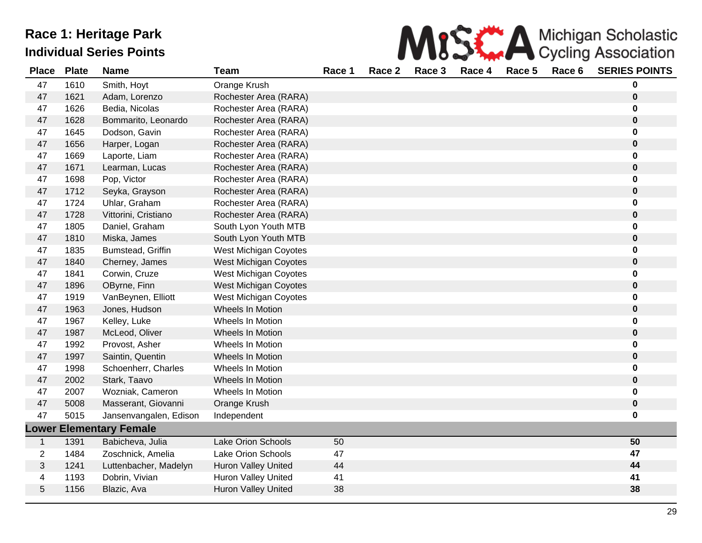| MISS A Michigan Scholastic |
|----------------------------|
|                            |

| <b>Place</b>   | <b>Plate</b> | <b>Name</b>                    | <b>Team</b>                  | Race 1 | Race 2 | Race 3 | Race 4 | Race 5 | Race 6 | <b>SERIES POINTS</b> |
|----------------|--------------|--------------------------------|------------------------------|--------|--------|--------|--------|--------|--------|----------------------|
| 47             | 1610         | Smith, Hoyt                    | Orange Krush                 |        |        |        |        |        |        | 0                    |
| 47             | 1621         | Adam, Lorenzo                  | Rochester Area (RARA)        |        |        |        |        |        |        | 0                    |
| 47             | 1626         | Bedia, Nicolas                 | Rochester Area (RARA)        |        |        |        |        |        |        | 0                    |
| 47             | 1628         | Bommarito, Leonardo            | Rochester Area (RARA)        |        |        |        |        |        |        | $\bf{0}$             |
| 47             | 1645         | Dodson, Gavin                  | Rochester Area (RARA)        |        |        |        |        |        |        | 0                    |
| 47             | 1656         | Harper, Logan                  | Rochester Area (RARA)        |        |        |        |        |        |        | $\pmb{0}$            |
| 47             | 1669         | Laporte, Liam                  | Rochester Area (RARA)        |        |        |        |        |        |        | 0                    |
| 47             | 1671         | Learman, Lucas                 | Rochester Area (RARA)        |        |        |        |        |        |        | $\pmb{0}$            |
| 47             | 1698         | Pop, Victor                    | Rochester Area (RARA)        |        |        |        |        |        |        | 0                    |
| 47             | 1712         | Seyka, Grayson                 | Rochester Area (RARA)        |        |        |        |        |        |        | 0                    |
| 47             | 1724         | Uhlar, Graham                  | Rochester Area (RARA)        |        |        |        |        |        |        | 0                    |
| 47             | 1728         | Vittorini, Cristiano           | Rochester Area (RARA)        |        |        |        |        |        |        | 0                    |
| 47             | 1805         | Daniel, Graham                 | South Lyon Youth MTB         |        |        |        |        |        |        | 0                    |
| 47             | 1810         | Miska, James                   | South Lyon Youth MTB         |        |        |        |        |        |        | $\mathbf 0$          |
| 47             | 1835         | Bumstead, Griffin              | <b>West Michigan Coyotes</b> |        |        |        |        |        |        | 0                    |
| 47             | 1840         | Cherney, James                 | <b>West Michigan Coyotes</b> |        |        |        |        |        |        | $\pmb{0}$            |
| 47             | 1841         | Corwin, Cruze                  | <b>West Michigan Coyotes</b> |        |        |        |        |        |        | 0                    |
| 47             | 1896         | OByrne, Finn                   | <b>West Michigan Coyotes</b> |        |        |        |        |        |        | $\mathbf 0$          |
| 47             | 1919         | VanBeynen, Elliott             | West Michigan Coyotes        |        |        |        |        |        |        | 0                    |
| 47             | 1963         | Jones, Hudson                  | Wheels In Motion             |        |        |        |        |        |        | $\mathbf 0$          |
| 47             | 1967         | Kelley, Luke                   | Wheels In Motion             |        |        |        |        |        |        | 0                    |
| 47             | 1987         | McLeod, Oliver                 | Wheels In Motion             |        |        |        |        |        |        | $\pmb{0}$            |
| 47             | 1992         | Provost, Asher                 | Wheels In Motion             |        |        |        |        |        |        | 0                    |
| 47             | 1997         | Saintin, Quentin               | Wheels In Motion             |        |        |        |        |        |        | $\mathbf 0$          |
| 47             | 1998         | Schoenherr, Charles            | Wheels In Motion             |        |        |        |        |        |        | 0                    |
| 47             | 2002         | Stark, Taavo                   | Wheels In Motion             |        |        |        |        |        |        | 0                    |
| 47             | 2007         | Wozniak, Cameron               | Wheels In Motion             |        |        |        |        |        |        | 0                    |
| 47             | 5008         | Masserant, Giovanni            | Orange Krush                 |        |        |        |        |        |        | 0                    |
| 47             | 5015         | Jansenvangalen, Edison         | Independent                  |        |        |        |        |        |        | 0                    |
|                |              | <b>Lower Elementary Female</b> |                              |        |        |        |        |        |        |                      |
| $\mathbf{1}$   | 1391         | Babicheva, Julia               | Lake Orion Schools           | 50     |        |        |        |        |        | 50                   |
| $\overline{2}$ | 1484         | Zoschnick, Amelia              | Lake Orion Schools           | 47     |        |        |        |        |        | 47                   |
| 3              | 1241         | Luttenbacher, Madelyn          | <b>Huron Valley United</b>   | 44     |        |        |        |        |        | 44                   |
| 4              | 1193         | Dobrin, Vivian                 | <b>Huron Valley United</b>   | 41     |        |        |        |        |        | 41                   |
| 5              | 1156         | Blazic, Ava                    | Huron Valley United          | 38     |        |        |        |        |        | 38                   |
|                |              |                                |                              |        |        |        |        |        |        |                      |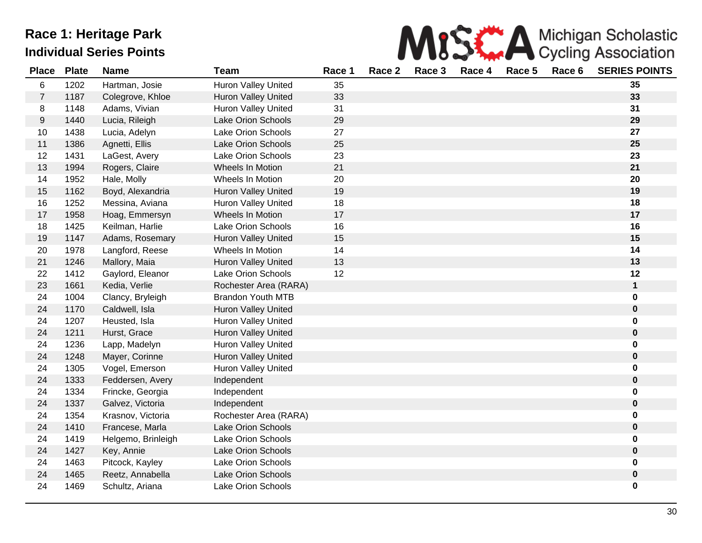

| <b>Place</b>   | <b>Plate</b> | <b>Name</b>        | <b>Team</b>                | Race 1 | Race 2 | Race 3 | Race 4 | Race 5 | Race 6 | <b>SERIES POINTS</b> |
|----------------|--------------|--------------------|----------------------------|--------|--------|--------|--------|--------|--------|----------------------|
| 6              | 1202         | Hartman, Josie     | Huron Valley United        | 35     |        |        |        |        |        | 35                   |
| $\overline{7}$ | 1187         | Colegrove, Khloe   | Huron Valley United        | 33     |        |        |        |        |        | 33                   |
| 8              | 1148         | Adams, Vivian      | Huron Valley United        | 31     |        |        |        |        |        | 31                   |
| 9              | 1440         | Lucia, Rileigh     | Lake Orion Schools         | 29     |        |        |        |        |        | 29                   |
| 10             | 1438         | Lucia, Adelyn      | Lake Orion Schools         | 27     |        |        |        |        |        | 27                   |
| 11             | 1386         | Agnetti, Ellis     | Lake Orion Schools         | 25     |        |        |        |        |        | 25                   |
| 12             | 1431         | LaGest, Avery      | Lake Orion Schools         | 23     |        |        |        |        |        | 23                   |
| 13             | 1994         | Rogers, Claire     | Wheels In Motion           | 21     |        |        |        |        |        | 21                   |
| 14             | 1952         | Hale, Molly        | Wheels In Motion           | 20     |        |        |        |        |        | 20                   |
| 15             | 1162         | Boyd, Alexandria   | <b>Huron Valley United</b> | 19     |        |        |        |        |        | 19                   |
| 16             | 1252         | Messina, Aviana    | <b>Huron Valley United</b> | 18     |        |        |        |        |        | 18                   |
| 17             | 1958         | Hoag, Emmersyn     | Wheels In Motion           | 17     |        |        |        |        |        | 17                   |
| 18             | 1425         | Keilman, Harlie    | Lake Orion Schools         | 16     |        |        |        |        |        | 16                   |
| 19             | 1147         | Adams, Rosemary    | <b>Huron Valley United</b> | 15     |        |        |        |        |        | 15                   |
| 20             | 1978         | Langford, Reese    | Wheels In Motion           | 14     |        |        |        |        |        | 14                   |
| 21             | 1246         | Mallory, Maia      | <b>Huron Valley United</b> | 13     |        |        |        |        |        | 13                   |
| 22             | 1412         | Gaylord, Eleanor   | Lake Orion Schools         | 12     |        |        |        |        |        | 12                   |
| 23             | 1661         | Kedia, Verlie      | Rochester Area (RARA)      |        |        |        |        |        |        | $\mathbf{1}$         |
| 24             | 1004         | Clancy, Bryleigh   | <b>Brandon Youth MTB</b>   |        |        |        |        |        |        | 0                    |
| 24             | 1170         | Caldwell, Isla     | Huron Valley United        |        |        |        |        |        |        | $\pmb{0}$            |
| 24             | 1207         | Heusted, Isla      | <b>Huron Valley United</b> |        |        |        |        |        |        | 0                    |
| 24             | 1211         | Hurst, Grace       | Huron Valley United        |        |        |        |        |        |        | $\pmb{0}$            |
| 24             | 1236         | Lapp, Madelyn      | Huron Valley United        |        |        |        |        |        |        | 0                    |
| 24             | 1248         | Mayer, Corinne     | <b>Huron Valley United</b> |        |        |        |        |        |        | $\pmb{0}$            |
| 24             | 1305         | Vogel, Emerson     | <b>Huron Valley United</b> |        |        |        |        |        |        | $\mathbf 0$          |
| 24             | 1333         | Feddersen, Avery   | Independent                |        |        |        |        |        |        | $\pmb{0}$            |
| 24             | 1334         | Frincke, Georgia   | Independent                |        |        |        |        |        |        | 0                    |
| 24             | 1337         | Galvez, Victoria   | Independent                |        |        |        |        |        |        | $\pmb{0}$            |
| 24             | 1354         | Krasnov, Victoria  | Rochester Area (RARA)      |        |        |        |        |        |        | 0                    |
| 24             | 1410         | Francese, Marla    | Lake Orion Schools         |        |        |        |        |        |        | $\pmb{0}$            |
| 24             | 1419         | Helgemo, Brinleigh | Lake Orion Schools         |        |        |        |        |        |        | $\pmb{0}$            |
| 24             | 1427         | Key, Annie         | Lake Orion Schools         |        |        |        |        |        |        | $\pmb{0}$            |
| 24             | 1463         | Pitcock, Kayley    | Lake Orion Schools         |        |        |        |        |        |        | 0                    |
| 24             | 1465         | Reetz, Annabella   | Lake Orion Schools         |        |        |        |        |        |        | $\pmb{0}$            |
| 24             | 1469         | Schultz, Ariana    | Lake Orion Schools         |        |        |        |        |        |        | 0                    |
|                |              |                    |                            |        |        |        |        |        |        |                      |